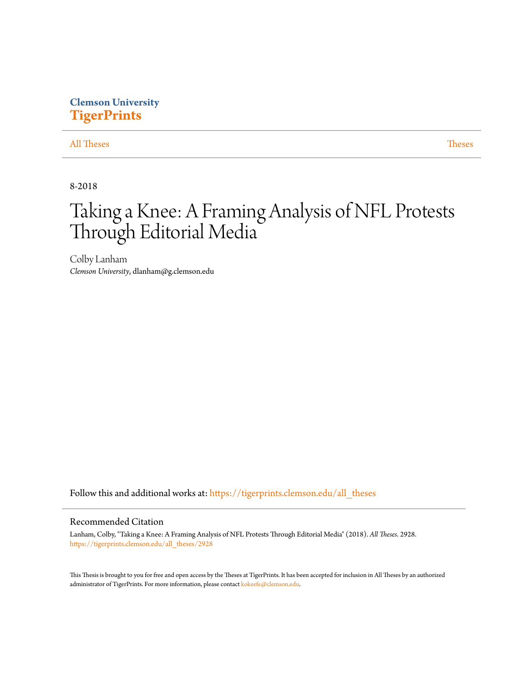# **Clemson University [TigerPrints](https://tigerprints.clemson.edu?utm_source=tigerprints.clemson.edu%2Fall_theses%2F2928&utm_medium=PDF&utm_campaign=PDFCoverPages)**

[All Theses](https://tigerprints.clemson.edu/all_theses?utm_source=tigerprints.clemson.edu%2Fall_theses%2F2928&utm_medium=PDF&utm_campaign=PDFCoverPages) **[Theses](https://tigerprints.clemson.edu/theses?utm_source=tigerprints.clemson.edu%2Fall_theses%2F2928&utm_medium=PDF&utm_campaign=PDFCoverPages)** 

8-2018

# Taking a Knee: A Framing Analysis of NFL Protests Through Editorial Media

Colby Lanham *Clemson University*, dlanham@g.clemson.edu

Follow this and additional works at: [https://tigerprints.clemson.edu/all\\_theses](https://tigerprints.clemson.edu/all_theses?utm_source=tigerprints.clemson.edu%2Fall_theses%2F2928&utm_medium=PDF&utm_campaign=PDFCoverPages)

## Recommended Citation

Lanham, Colby, "Taking a Knee: A Framing Analysis of NFL Protests Through Editorial Media" (2018). *All Theses*. 2928. [https://tigerprints.clemson.edu/all\\_theses/2928](https://tigerprints.clemson.edu/all_theses/2928?utm_source=tigerprints.clemson.edu%2Fall_theses%2F2928&utm_medium=PDF&utm_campaign=PDFCoverPages)

This Thesis is brought to you for free and open access by the Theses at TigerPrints. It has been accepted for inclusion in All Theses by an authorized administrator of TigerPrints. For more information, please contact [kokeefe@clemson.edu](mailto:kokeefe@clemson.edu).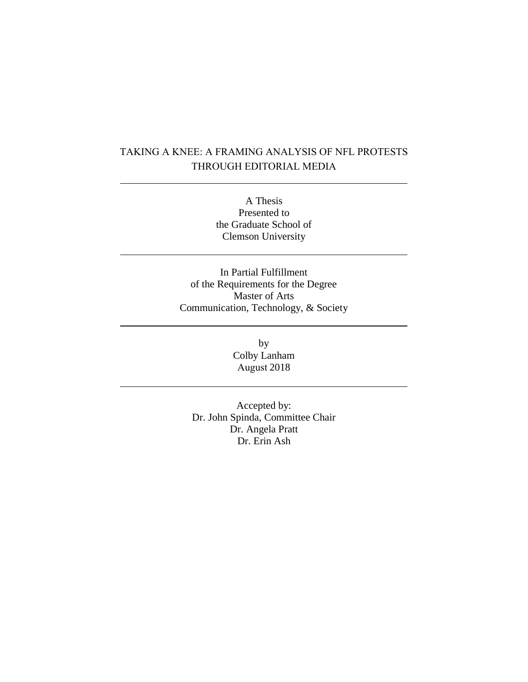# TAKING A KNEE: A FRAMING ANALYSIS OF NFL PROTESTS THROUGH EDITORIAL MEDIA

A Thesis Presented to the Graduate School of Clemson University

In Partial Fulfillment of the Requirements for the Degree Master of Arts Communication, Technology, & Society

> by Colby Lanham August 2018

Accepted by: Dr. John Spinda, Committee Chair Dr. Angela Pratt Dr. Erin Ash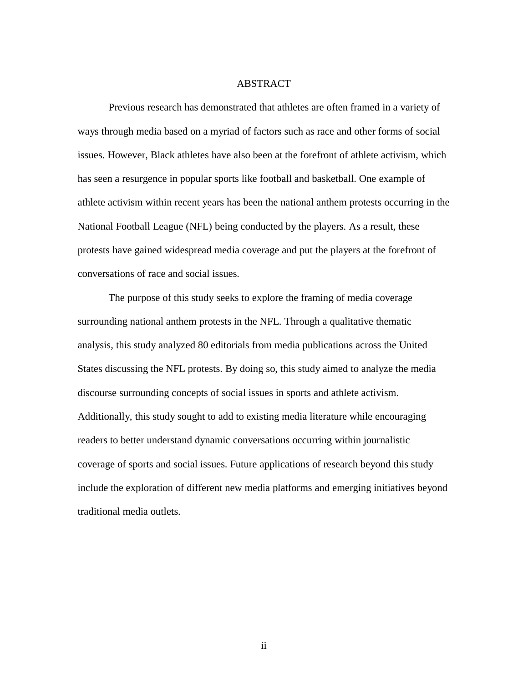#### ABSTRACT

Previous research has demonstrated that athletes are often framed in a variety of ways through media based on a myriad of factors such as race and other forms of social issues. However, Black athletes have also been at the forefront of athlete activism, which has seen a resurgence in popular sports like football and basketball. One example of athlete activism within recent years has been the national anthem protests occurring in the National Football League (NFL) being conducted by the players. As a result, these protests have gained widespread media coverage and put the players at the forefront of conversations of race and social issues.

The purpose of this study seeks to explore the framing of media coverage surrounding national anthem protests in the NFL. Through a qualitative thematic analysis, this study analyzed 80 editorials from media publications across the United States discussing the NFL protests. By doing so, this study aimed to analyze the media discourse surrounding concepts of social issues in sports and athlete activism. Additionally, this study sought to add to existing media literature while encouraging readers to better understand dynamic conversations occurring within journalistic coverage of sports and social issues. Future applications of research beyond this study include the exploration of different new media platforms and emerging initiatives beyond traditional media outlets.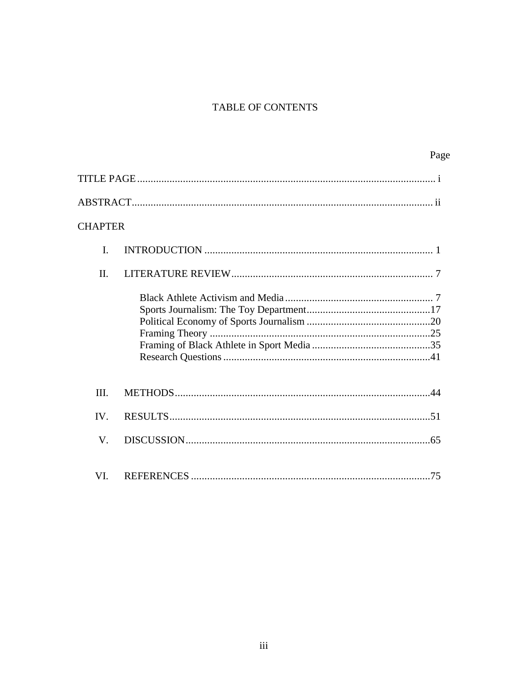# TABLE OF CONTENTS

|         | Page |
|---------|------|
|         |      |
|         |      |
| CHAPTER |      |
| I.      |      |
| II.     |      |
|         |      |
| III.    |      |
| IV.     |      |
| V.      |      |
| VI.     |      |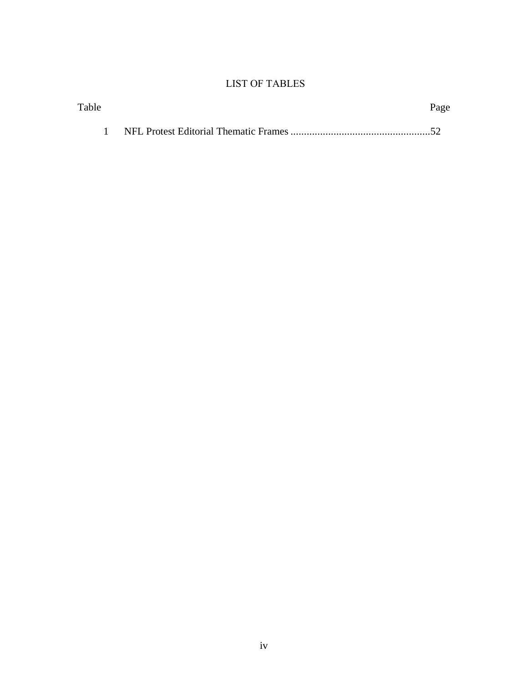# LIST OF TABLES

| Table | Page |
|-------|------|
|       |      |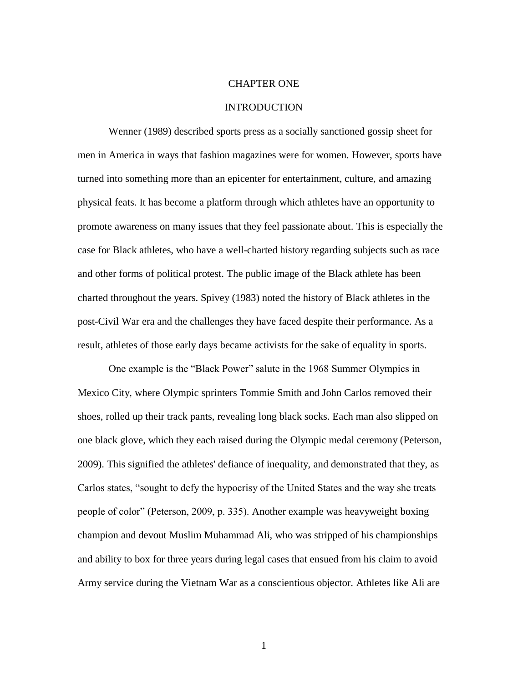#### CHAPTER ONE

## INTRODUCTION

Wenner (1989) described sports press as a socially sanctioned gossip sheet for men in America in ways that fashion magazines were for women. However, sports have turned into something more than an epicenter for entertainment, culture, and amazing physical feats. It has become a platform through which athletes have an opportunity to promote awareness on many issues that they feel passionate about. This is especially the case for Black athletes, who have a well-charted history regarding subjects such as race and other forms of political protest. The public image of the Black athlete has been charted throughout the years. Spivey (1983) noted the history of Black athletes in the post-Civil War era and the challenges they have faced despite their performance. As a result, athletes of those early days became activists for the sake of equality in sports.

One example is the "Black Power" salute in the 1968 Summer Olympics in Mexico City, where Olympic sprinters Tommie Smith and John Carlos removed their shoes, rolled up their track pants, revealing long black socks. Each man also slipped on one black glove, which they each raised during the Olympic medal ceremony (Peterson, 2009). This signified the athletes' defiance of inequality, and demonstrated that they, as Carlos states, "sought to defy the hypocrisy of the United States and the way she treats people of color" (Peterson, 2009, p. 335). Another example was heavyweight boxing champion and devout Muslim Muhammad Ali, who was stripped of his championships and ability to box for three years during legal cases that ensued from his claim to avoid Army service during the Vietnam War as a conscientious objector. Athletes like Ali are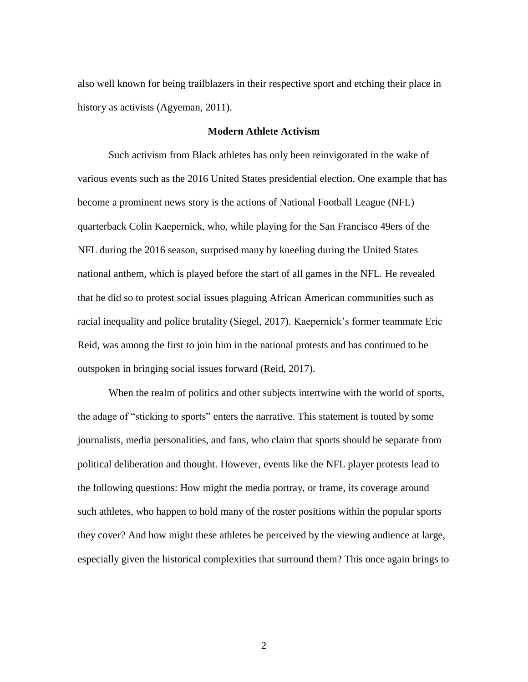also well known for being trailblazers in their respective sport and etching their place in history as activists (Agyeman, 2011).

# **Modern Athlete Activism**

Such activism from Black athletes has only been reinvigorated in the wake of various events such as the 2016 United States presidential election. One example that has become a prominent news story is the actions of National Football League (NFL) quarterback Colin Kaepernick, who, while playing for the San Francisco 49ers of the NFL during the 2016 season, surprised many by kneeling during the United States national anthem, which is played before the start of all games in the NFL. He revealed that he did so to protest social issues plaguing African American communities such as racial inequality and police brutality (Siegel, 2017). Kaepernick's former teammate Eric Reid, was among the first to join him in the national protests and has continued to be outspoken in bringing social issues forward (Reid, 2017).

When the realm of politics and other subjects intertwine with the world of sports, the adage of "sticking to sports" enters the narrative. This statement is touted by some journalists, media personalities, and fans, who claim that sports should be separate from political deliberation and thought. However, events like the NFL player protests lead to the following questions: How might the media portray, or frame, its coverage around such athletes, who happen to hold many of the roster positions within the popular sports they cover? And how might these athletes be perceived by the viewing audience at large, especially given the historical complexities that surround them? This once again brings to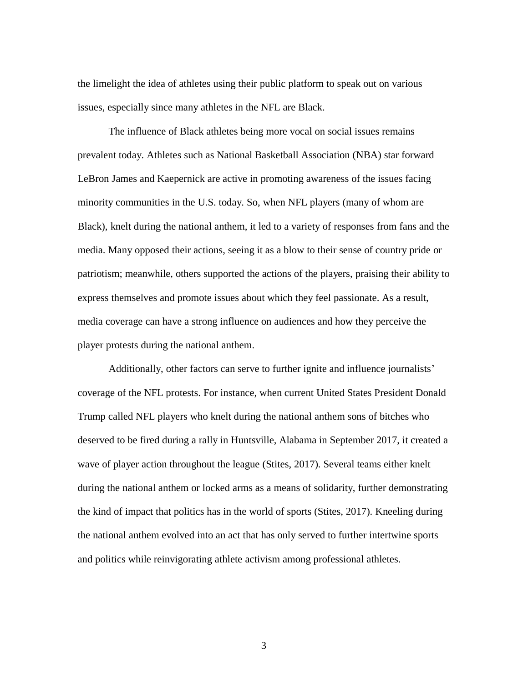the limelight the idea of athletes using their public platform to speak out on various issues, especially since many athletes in the NFL are Black.

The influence of Black athletes being more vocal on social issues remains prevalent today. Athletes such as National Basketball Association (NBA) star forward LeBron James and Kaepernick are active in promoting awareness of the issues facing minority communities in the U.S. today. So, when NFL players (many of whom are Black), knelt during the national anthem, it led to a variety of responses from fans and the media. Many opposed their actions, seeing it as a blow to their sense of country pride or patriotism; meanwhile, others supported the actions of the players, praising their ability to express themselves and promote issues about which they feel passionate. As a result, media coverage can have a strong influence on audiences and how they perceive the player protests during the national anthem.

Additionally, other factors can serve to further ignite and influence journalists' coverage of the NFL protests. For instance, when current United States President Donald Trump called NFL players who knelt during the national anthem sons of bitches who deserved to be fired during a rally in Huntsville, Alabama in September 2017, it created a wave of player action throughout the league (Stites, 2017). Several teams either knelt during the national anthem or locked arms as a means of solidarity, further demonstrating the kind of impact that politics has in the world of sports (Stites, 2017). Kneeling during the national anthem evolved into an act that has only served to further intertwine sports and politics while reinvigorating athlete activism among professional athletes.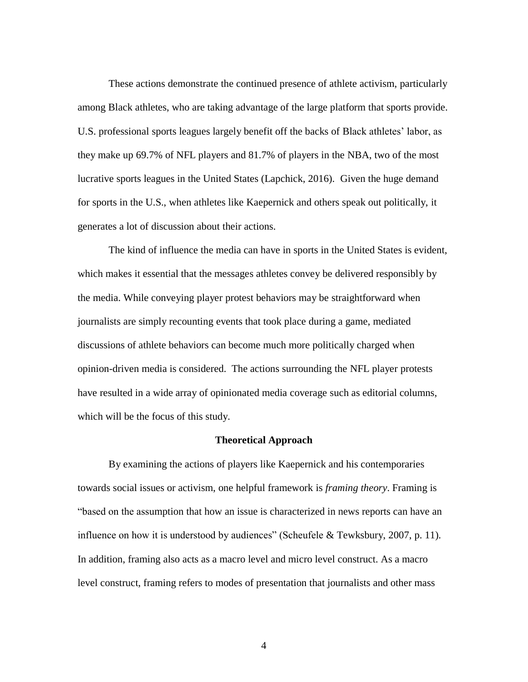These actions demonstrate the continued presence of athlete activism, particularly among Black athletes, who are taking advantage of the large platform that sports provide. U.S. professional sports leagues largely benefit off the backs of Black athletes' labor, as they make up 69.7% of NFL players and 81.7% of players in the NBA, two of the most lucrative sports leagues in the United States (Lapchick, 2016). Given the huge demand for sports in the U.S., when athletes like Kaepernick and others speak out politically, it generates a lot of discussion about their actions.

The kind of influence the media can have in sports in the United States is evident, which makes it essential that the messages athletes convey be delivered responsibly by the media. While conveying player protest behaviors may be straightforward when journalists are simply recounting events that took place during a game, mediated discussions of athlete behaviors can become much more politically charged when opinion-driven media is considered. The actions surrounding the NFL player protests have resulted in a wide array of opinionated media coverage such as editorial columns, which will be the focus of this study.

## **Theoretical Approach**

By examining the actions of players like Kaepernick and his contemporaries towards social issues or activism, one helpful framework is *framing theory*. Framing is "based on the assumption that how an issue is characterized in news reports can have an influence on how it is understood by audiences" (Scheufele & Tewksbury, 2007, p. 11). In addition, framing also acts as a macro level and micro level construct. As a macro level construct, framing refers to modes of presentation that journalists and other mass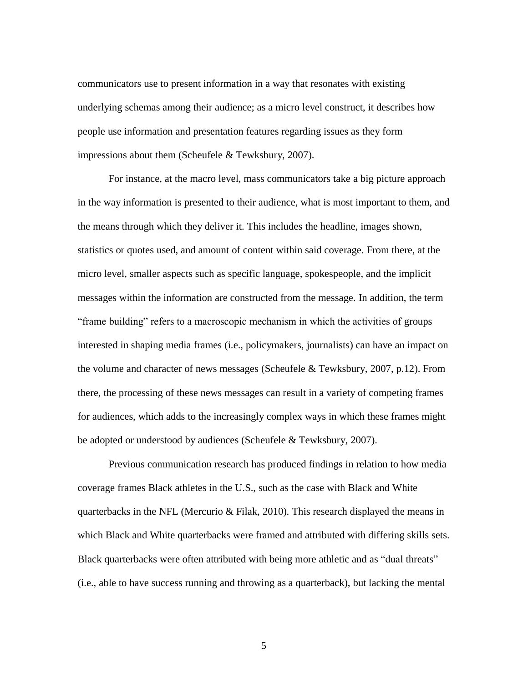communicators use to present information in a way that resonates with existing underlying schemas among their audience; as a micro level construct, it describes how people use information and presentation features regarding issues as they form impressions about them (Scheufele & Tewksbury, 2007).

For instance, at the macro level, mass communicators take a big picture approach in the way information is presented to their audience, what is most important to them, and the means through which they deliver it. This includes the headline, images shown, statistics or quotes used, and amount of content within said coverage. From there, at the micro level, smaller aspects such as specific language, spokespeople, and the implicit messages within the information are constructed from the message. In addition, the term "frame building" refers to a macroscopic mechanism in which the activities of groups interested in shaping media frames (i.e., policymakers, journalists) can have an impact on the volume and character of news messages (Scheufele & Tewksbury, 2007, p.12). From there, the processing of these news messages can result in a variety of competing frames for audiences, which adds to the increasingly complex ways in which these frames might be adopted or understood by audiences (Scheufele & Tewksbury, 2007).

Previous communication research has produced findings in relation to how media coverage frames Black athletes in the U.S., such as the case with Black and White quarterbacks in the NFL (Mercurio & Filak, 2010). This research displayed the means in which Black and White quarterbacks were framed and attributed with differing skills sets. Black quarterbacks were often attributed with being more athletic and as "dual threats" (i.e., able to have success running and throwing as a quarterback), but lacking the mental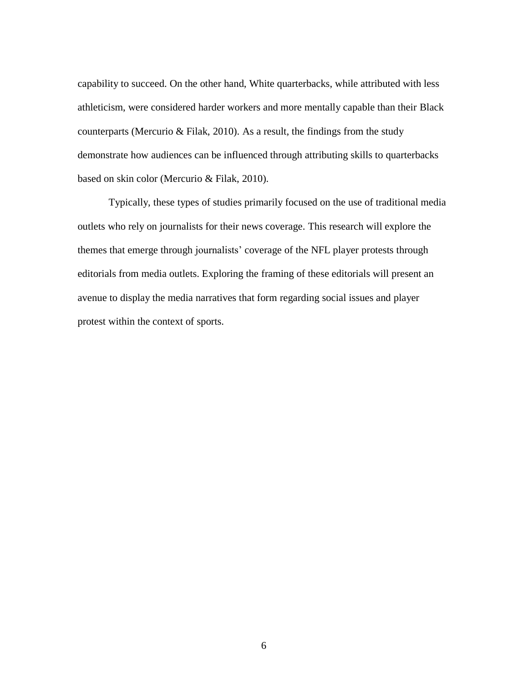capability to succeed. On the other hand, White quarterbacks, while attributed with less athleticism, were considered harder workers and more mentally capable than their Black counterparts (Mercurio & Filak, 2010). As a result, the findings from the study demonstrate how audiences can be influenced through attributing skills to quarterbacks based on skin color (Mercurio & Filak, 2010).

Typically, these types of studies primarily focused on the use of traditional media outlets who rely on journalists for their news coverage. This research will explore the themes that emerge through journalists' coverage of the NFL player protests through editorials from media outlets. Exploring the framing of these editorials will present an avenue to display the media narratives that form regarding social issues and player protest within the context of sports.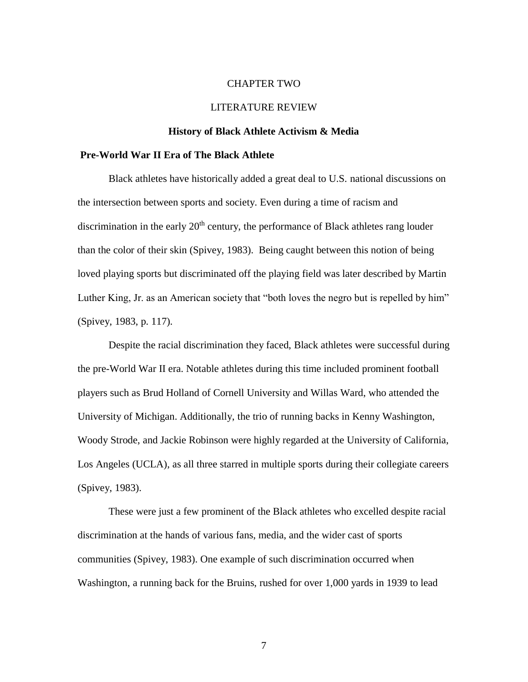#### CHAPTER TWO

## LITERATURE REVIEW

#### **History of Black Athlete Activism & Media**

#### **Pre-World War II Era of The Black Athlete**

Black athletes have historically added a great deal to U.S. national discussions on the intersection between sports and society. Even during a time of racism and discrimination in the early  $20<sup>th</sup>$  century, the performance of Black athletes rang louder than the color of their skin (Spivey, 1983). Being caught between this notion of being loved playing sports but discriminated off the playing field was later described by Martin Luther King, Jr. as an American society that "both loves the negro but is repelled by him" (Spivey, 1983, p. 117).

Despite the racial discrimination they faced, Black athletes were successful during the pre-World War II era. Notable athletes during this time included prominent football players such as Brud Holland of Cornell University and Willas Ward, who attended the University of Michigan. Additionally, the trio of running backs in Kenny Washington, Woody Strode, and Jackie Robinson were highly regarded at the University of California, Los Angeles (UCLA), as all three starred in multiple sports during their collegiate careers (Spivey, 1983).

These were just a few prominent of the Black athletes who excelled despite racial discrimination at the hands of various fans, media, and the wider cast of sports communities (Spivey, 1983). One example of such discrimination occurred when Washington, a running back for the Bruins, rushed for over 1,000 yards in 1939 to lead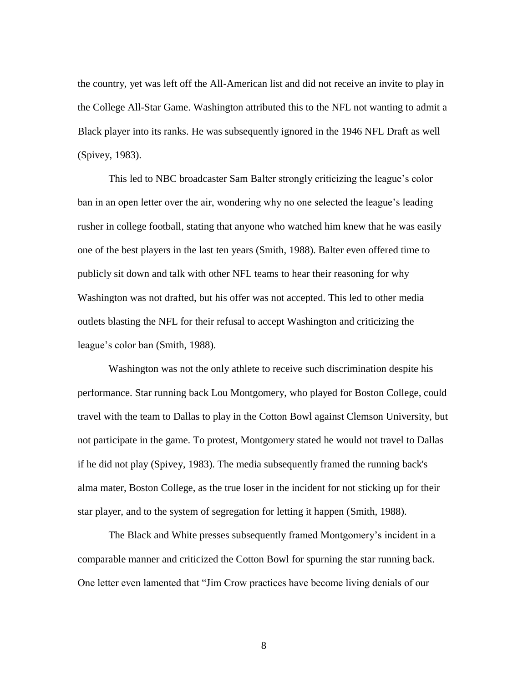the country, yet was left off the All-American list and did not receive an invite to play in the College All-Star Game. Washington attributed this to the NFL not wanting to admit a Black player into its ranks. He was subsequently ignored in the 1946 NFL Draft as well (Spivey, 1983).

This led to NBC broadcaster Sam Balter strongly criticizing the league's color ban in an open letter over the air, wondering why no one selected the league's leading rusher in college football, stating that anyone who watched him knew that he was easily one of the best players in the last ten years (Smith, 1988). Balter even offered time to publicly sit down and talk with other NFL teams to hear their reasoning for why Washington was not drafted, but his offer was not accepted. This led to other media outlets blasting the NFL for their refusal to accept Washington and criticizing the league's color ban (Smith, 1988).

Washington was not the only athlete to receive such discrimination despite his performance. Star running back Lou Montgomery, who played for Boston College, could travel with the team to Dallas to play in the Cotton Bowl against Clemson University, but not participate in the game. To protest, Montgomery stated he would not travel to Dallas if he did not play (Spivey, 1983). The media subsequently framed the running back's alma mater, Boston College, as the true loser in the incident for not sticking up for their star player, and to the system of segregation for letting it happen (Smith, 1988).

The Black and White presses subsequently framed Montgomery's incident in a comparable manner and criticized the Cotton Bowl for spurning the star running back. One letter even lamented that "Jim Crow practices have become living denials of our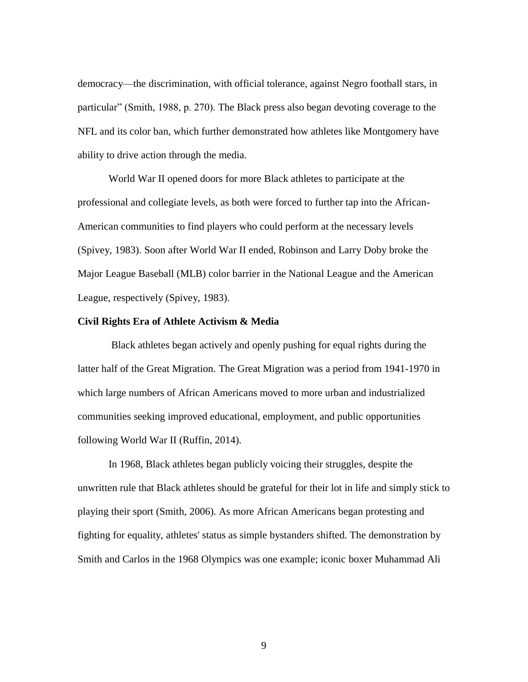democracy—the discrimination, with official tolerance, against Negro football stars, in particular" (Smith, 1988, p. 270). The Black press also began devoting coverage to the NFL and its color ban, which further demonstrated how athletes like Montgomery have ability to drive action through the media.

World War II opened doors for more Black athletes to participate at the professional and collegiate levels, as both were forced to further tap into the African-American communities to find players who could perform at the necessary levels (Spivey, 1983). Soon after World War II ended, Robinson and Larry Doby broke the Major League Baseball (MLB) color barrier in the National League and the American League, respectively (Spivey, 1983).

# **Civil Rights Era of Athlete Activism & Media**

Black athletes began actively and openly pushing for equal rights during the latter half of the Great Migration. The Great Migration was a period from 1941-1970 in which large numbers of African Americans moved to more urban and industrialized communities seeking improved educational, employment, and public opportunities following World War II (Ruffin, 2014).

In 1968, Black athletes began publicly voicing their struggles, despite the unwritten rule that Black athletes should be grateful for their lot in life and simply stick to playing their sport (Smith, 2006). As more African Americans began protesting and fighting for equality, athletes' status as simple bystanders shifted. The demonstration by Smith and Carlos in the 1968 Olympics was one example; iconic boxer Muhammad Ali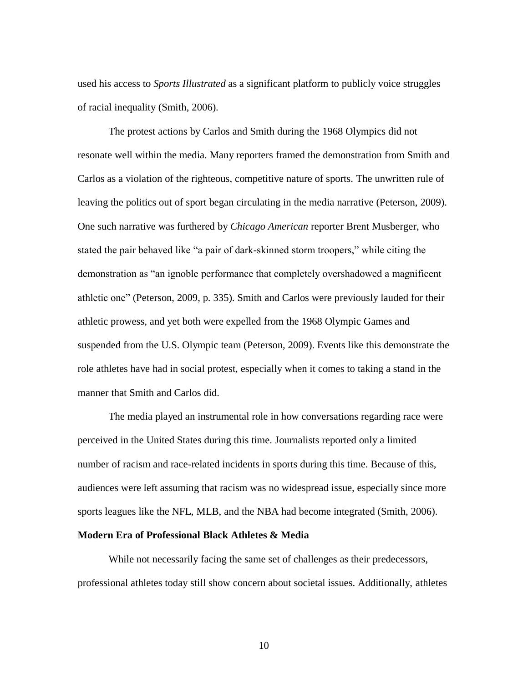used his access to *Sports Illustrated* as a significant platform to publicly voice struggles of racial inequality (Smith, 2006).

The protest actions by Carlos and Smith during the 1968 Olympics did not resonate well within the media. Many reporters framed the demonstration from Smith and Carlos as a violation of the righteous, competitive nature of sports. The unwritten rule of leaving the politics out of sport began circulating in the media narrative (Peterson, 2009). One such narrative was furthered by *Chicago American* reporter Brent Musberger, who stated the pair behaved like "a pair of dark-skinned storm troopers," while citing the demonstration as "an ignoble performance that completely overshadowed a magnificent athletic one" (Peterson, 2009, p. 335). Smith and Carlos were previously lauded for their athletic prowess, and yet both were expelled from the 1968 Olympic Games and suspended from the U.S. Olympic team (Peterson, 2009). Events like this demonstrate the role athletes have had in social protest, especially when it comes to taking a stand in the manner that Smith and Carlos did.

The media played an instrumental role in how conversations regarding race were perceived in the United States during this time. Journalists reported only a limited number of racism and race-related incidents in sports during this time. Because of this, audiences were left assuming that racism was no widespread issue, especially since more sports leagues like the NFL, MLB, and the NBA had become integrated (Smith, 2006).

# **Modern Era of Professional Black Athletes & Media**

While not necessarily facing the same set of challenges as their predecessors, professional athletes today still show concern about societal issues. Additionally, athletes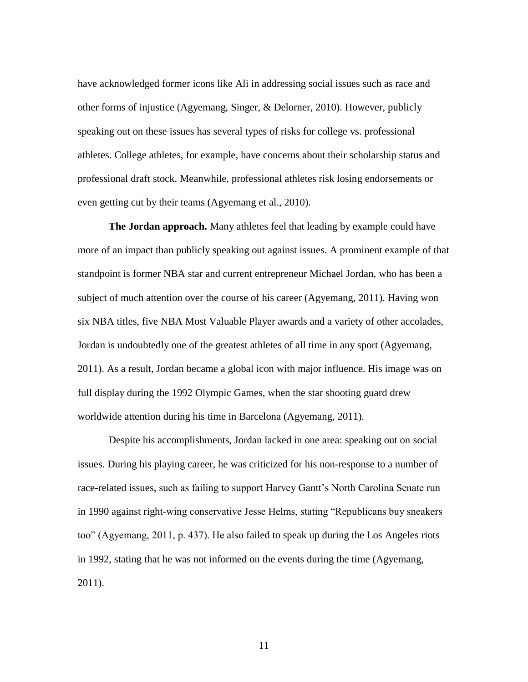have acknowledged former icons like Ali in addressing social issues such as race and other forms of injustice (Agyemang, Singer, & Delorner, 2010). However, publicly speaking out on these issues has several types of risks for college vs. professional athletes. College athletes, for example, have concerns about their scholarship status and professional draft stock. Meanwhile, professional athletes risk losing endorsements or even getting cut by their teams (Agyemang et al., 2010).

**The Jordan approach.** Many athletes feel that leading by example could have more of an impact than publicly speaking out against issues. A prominent example of that standpoint is former NBA star and current entrepreneur Michael Jordan, who has been a subject of much attention over the course of his career (Agyemang, 2011). Having won six NBA titles, five NBA Most Valuable Player awards and a variety of other accolades, Jordan is undoubtedly one of the greatest athletes of all time in any sport (Agyemang, 2011). As a result, Jordan became a global icon with major influence. His image was on full display during the 1992 Olympic Games, when the star shooting guard drew worldwide attention during his time in Barcelona (Agyemang, 2011).

Despite his accomplishments, Jordan lacked in one area: speaking out on social issues. During his playing career, he was criticized for his non-response to a number of race-related issues, such as failing to support Harvey Gantt's North Carolina Senate run in 1990 against right-wing conservative Jesse Helms, stating "Republicans buy sneakers too" (Agyemang, 2011, p. 437). He also failed to speak up during the Los Angeles riots in 1992, stating that he was not informed on the events during the time (Agyemang, 2011).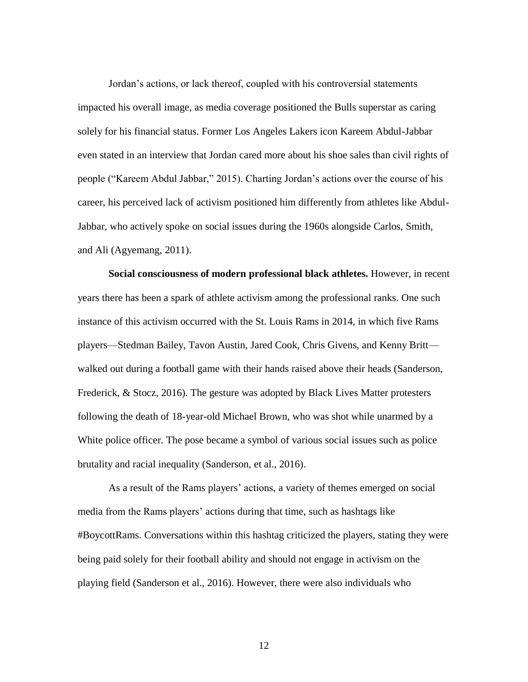Jordan's actions, or lack thereof, coupled with his controversial statements impacted his overall image, as media coverage positioned the Bulls superstar as caring solely for his financial status. Former Los Angeles Lakers icon Kareem Abdul-Jabbar even stated in an interview that Jordan cared more about his shoe sales than civil rights of people ("Kareem Abdul Jabbar," 2015). Charting Jordan's actions over the course of his career, his perceived lack of activism positioned him differently from athletes like Abdul-Jabbar, who actively spoke on social issues during the 1960s alongside Carlos, Smith, and Ali (Agyemang, 2011).

**Social consciousness of modern professional black athletes.** However, in recent years there has been a spark of athlete activism among the professional ranks. One such instance of this activism occurred with the St. Louis Rams in 2014, in which five Rams players—Stedman Bailey, Tavon Austin, Jared Cook, Chris Givens, and Kenny Britt walked out during a football game with their hands raised above their heads (Sanderson, Frederick, & Stocz, 2016). The gesture was adopted by Black Lives Matter protesters following the death of 18-year-old Michael Brown, who was shot while unarmed by a White police officer. The pose became a symbol of various social issues such as police brutality and racial inequality (Sanderson, et al., 2016).

As a result of the Rams players' actions, a variety of themes emerged on social media from the Rams players' actions during that time, such as hashtags like #BoycottRams. Conversations within this hashtag criticized the players, stating they were being paid solely for their football ability and should not engage in activism on the playing field (Sanderson et al., 2016). However, there were also individuals who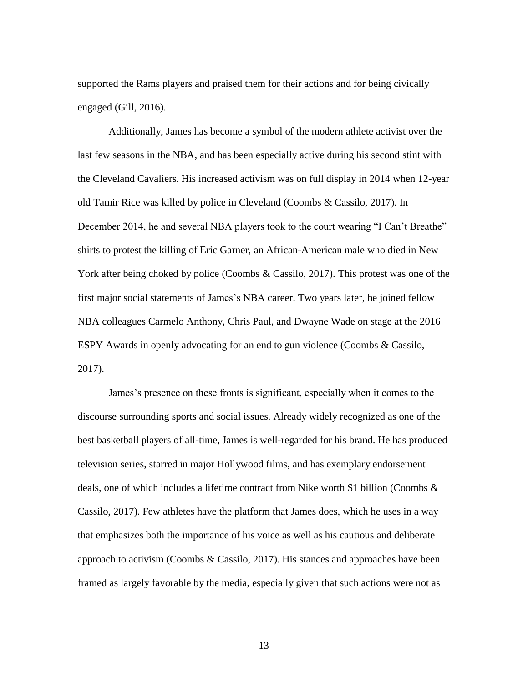supported the Rams players and praised them for their actions and for being civically engaged (Gill, 2016).

Additionally, James has become a symbol of the modern athlete activist over the last few seasons in the NBA, and has been especially active during his second stint with the Cleveland Cavaliers. His increased activism was on full display in 2014 when 12-year old Tamir Rice was killed by police in Cleveland (Coombs & Cassilo, 2017). In December 2014, he and several NBA players took to the court wearing "I Can't Breathe" shirts to protest the killing of Eric Garner, an African-American male who died in New York after being choked by police (Coombs & Cassilo, 2017). This protest was one of the first major social statements of James's NBA career. Two years later, he joined fellow NBA colleagues Carmelo Anthony, Chris Paul, and Dwayne Wade on stage at the 2016 ESPY Awards in openly advocating for an end to gun violence (Coombs & Cassilo, 2017).

James's presence on these fronts is significant, especially when it comes to the discourse surrounding sports and social issues. Already widely recognized as one of the best basketball players of all-time, James is well-regarded for his brand. He has produced television series, starred in major Hollywood films, and has exemplary endorsement deals, one of which includes a lifetime contract from Nike worth \$1 billion (Coombs & Cassilo, 2017). Few athletes have the platform that James does, which he uses in a way that emphasizes both the importance of his voice as well as his cautious and deliberate approach to activism (Coombs & Cassilo, 2017). His stances and approaches have been framed as largely favorable by the media, especially given that such actions were not as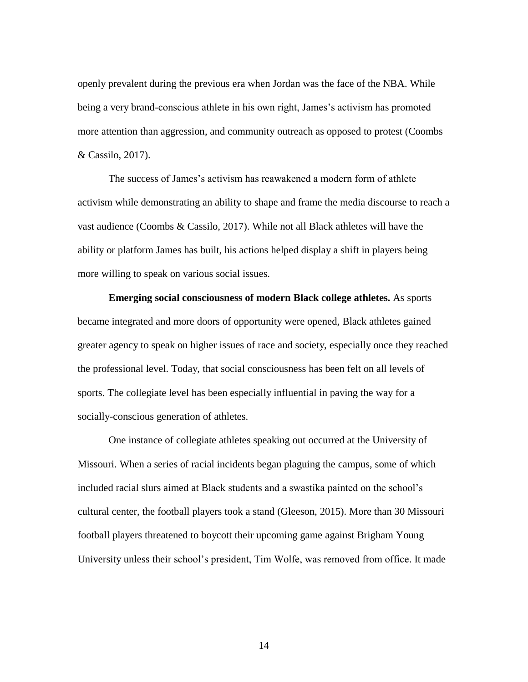openly prevalent during the previous era when Jordan was the face of the NBA. While being a very brand-conscious athlete in his own right, James's activism has promoted more attention than aggression, and community outreach as opposed to protest (Coombs & Cassilo, 2017).

The success of James's activism has reawakened a modern form of athlete activism while demonstrating an ability to shape and frame the media discourse to reach a vast audience (Coombs & Cassilo, 2017). While not all Black athletes will have the ability or platform James has built, his actions helped display a shift in players being more willing to speak on various social issues.

**Emerging social consciousness of modern Black college athletes.** As sports became integrated and more doors of opportunity were opened, Black athletes gained greater agency to speak on higher issues of race and society, especially once they reached the professional level. Today, that social consciousness has been felt on all levels of sports. The collegiate level has been especially influential in paving the way for a socially-conscious generation of athletes.

One instance of collegiate athletes speaking out occurred at the University of Missouri. When a series of racial incidents began plaguing the campus, some of which included racial slurs aimed at Black students and a swastika painted on the school's cultural center, the football players took a stand (Gleeson, 2015). More than 30 Missouri football players threatened to boycott their upcoming game against Brigham Young University unless their school's president, Tim Wolfe, was removed from office. It made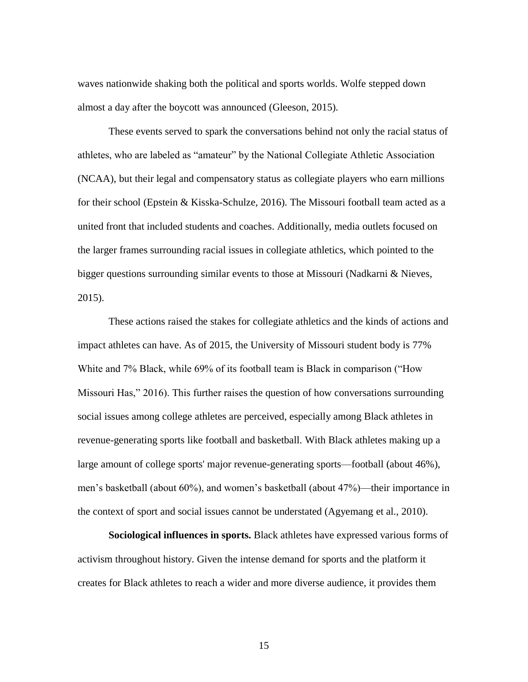waves nationwide shaking both the political and sports worlds. Wolfe stepped down almost a day after the boycott was announced (Gleeson, 2015).

These events served to spark the conversations behind not only the racial status of athletes, who are labeled as "amateur" by the National Collegiate Athletic Association (NCAA), but their legal and compensatory status as collegiate players who earn millions for their school (Epstein & Kisska-Schulze, 2016). The Missouri football team acted as a united front that included students and coaches. Additionally, media outlets focused on the larger frames surrounding racial issues in collegiate athletics, which pointed to the bigger questions surrounding similar events to those at Missouri (Nadkarni & Nieves, 2015).

These actions raised the stakes for collegiate athletics and the kinds of actions and impact athletes can have. As of 2015, the University of Missouri student body is 77% White and 7% Black, while 69% of its football team is Black in comparison ("How Missouri Has," 2016). This further raises the question of how conversations surrounding social issues among college athletes are perceived, especially among Black athletes in revenue-generating sports like football and basketball. With Black athletes making up a large amount of college sports' major revenue-generating sports—football (about 46%), men's basketball (about 60%), and women's basketball (about 47%)—their importance in the context of sport and social issues cannot be understated (Agyemang et al., 2010).

**Sociological influences in sports.** Black athletes have expressed various forms of activism throughout history. Given the intense demand for sports and the platform it creates for Black athletes to reach a wider and more diverse audience, it provides them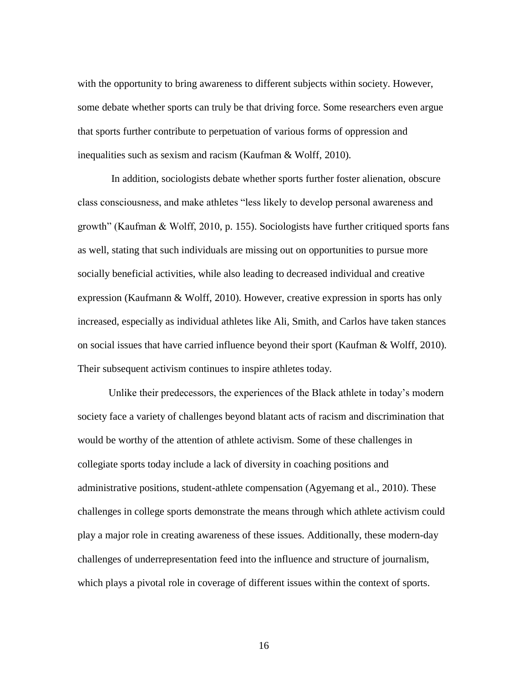with the opportunity to bring awareness to different subjects within society. However, some debate whether sports can truly be that driving force. Some researchers even argue that sports further contribute to perpetuation of various forms of oppression and inequalities such as sexism and racism (Kaufman & Wolff, 2010).

In addition, sociologists debate whether sports further foster alienation, obscure class consciousness, and make athletes "less likely to develop personal awareness and growth" (Kaufman & Wolff, 2010, p. 155). Sociologists have further critiqued sports fans as well, stating that such individuals are missing out on opportunities to pursue more socially beneficial activities, while also leading to decreased individual and creative expression (Kaufmann & Wolff, 2010). However, creative expression in sports has only increased, especially as individual athletes like Ali, Smith, and Carlos have taken stances on social issues that have carried influence beyond their sport (Kaufman & Wolff, 2010). Their subsequent activism continues to inspire athletes today.

Unlike their predecessors, the experiences of the Black athlete in today's modern society face a variety of challenges beyond blatant acts of racism and discrimination that would be worthy of the attention of athlete activism. Some of these challenges in collegiate sports today include a lack of diversity in coaching positions and administrative positions, student-athlete compensation (Agyemang et al., 2010). These challenges in college sports demonstrate the means through which athlete activism could play a major role in creating awareness of these issues. Additionally, these modern-day challenges of underrepresentation feed into the influence and structure of journalism, which plays a pivotal role in coverage of different issues within the context of sports.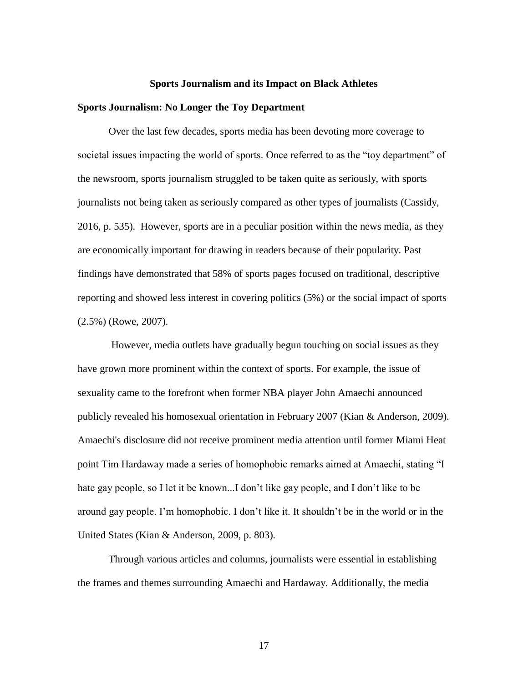#### **Sports Journalism and its Impact on Black Athletes**

#### **Sports Journalism: No Longer the Toy Department**

Over the last few decades, sports media has been devoting more coverage to societal issues impacting the world of sports. Once referred to as the "toy department" of the newsroom, sports journalism struggled to be taken quite as seriously, with sports journalists not being taken as seriously compared as other types of journalists (Cassidy, 2016, p. 535). However, sports are in a peculiar position within the news media, as they are economically important for drawing in readers because of their popularity. Past findings have demonstrated that 58% of sports pages focused on traditional, descriptive reporting and showed less interest in covering politics (5%) or the social impact of sports (2.5%) (Rowe, 2007).

However, media outlets have gradually begun touching on social issues as they have grown more prominent within the context of sports. For example, the issue of sexuality came to the forefront when former NBA player John Amaechi announced publicly revealed his homosexual orientation in February 2007 (Kian & Anderson, 2009). Amaechi's disclosure did not receive prominent media attention until former Miami Heat point Tim Hardaway made a series of homophobic remarks aimed at Amaechi, stating "I hate gay people, so I let it be known...I don't like gay people, and I don't like to be around gay people. I'm homophobic. I don't like it. It shouldn't be in the world or in the United States (Kian & Anderson, 2009, p. 803).

Through various articles and columns, journalists were essential in establishing the frames and themes surrounding Amaechi and Hardaway. Additionally, the media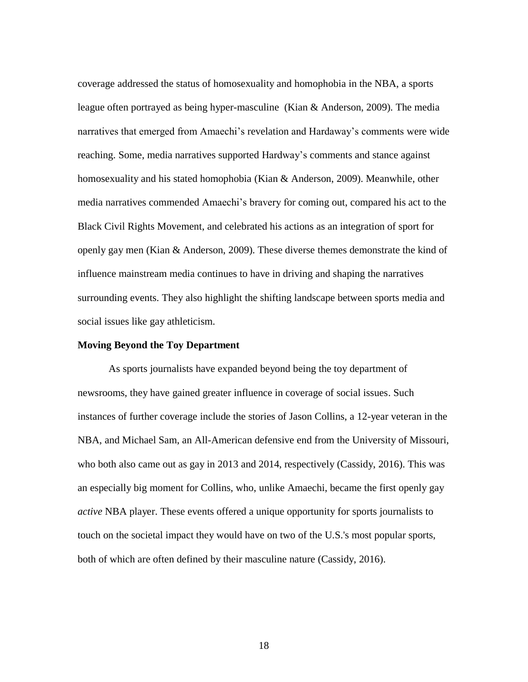coverage addressed the status of homosexuality and homophobia in the NBA, a sports league often portrayed as being hyper-masculine (Kian & Anderson, 2009). The media narratives that emerged from Amaechi's revelation and Hardaway's comments were wide reaching. Some, media narratives supported Hardway's comments and stance against homosexuality and his stated homophobia (Kian & Anderson, 2009). Meanwhile, other media narratives commended Amaechi's bravery for coming out, compared his act to the Black Civil Rights Movement, and celebrated his actions as an integration of sport for openly gay men (Kian & Anderson, 2009). These diverse themes demonstrate the kind of influence mainstream media continues to have in driving and shaping the narratives surrounding events. They also highlight the shifting landscape between sports media and social issues like gay athleticism.

# **Moving Beyond the Toy Department**

As sports journalists have expanded beyond being the toy department of newsrooms, they have gained greater influence in coverage of social issues. Such instances of further coverage include the stories of Jason Collins, a 12-year veteran in the NBA, and Michael Sam, an All-American defensive end from the University of Missouri, who both also came out as gay in 2013 and 2014, respectively (Cassidy, 2016). This was an especially big moment for Collins, who, unlike Amaechi, became the first openly gay *active* NBA player. These events offered a unique opportunity for sports journalists to touch on the societal impact they would have on two of the U.S.'s most popular sports, both of which are often defined by their masculine nature (Cassidy, 2016).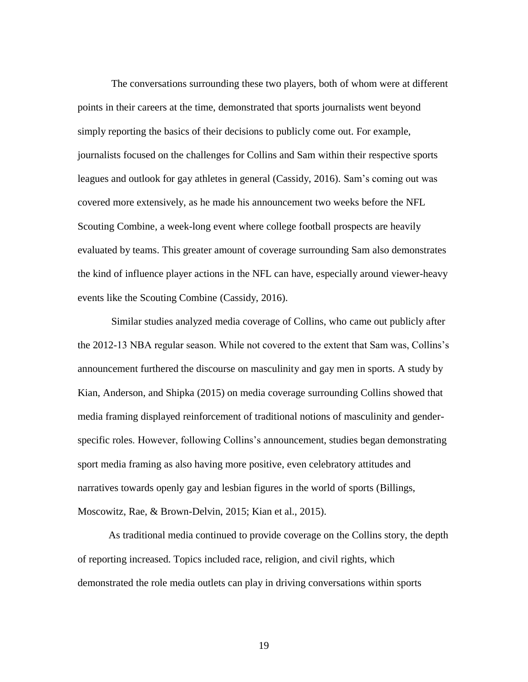The conversations surrounding these two players, both of whom were at different points in their careers at the time, demonstrated that sports journalists went beyond simply reporting the basics of their decisions to publicly come out. For example, journalists focused on the challenges for Collins and Sam within their respective sports leagues and outlook for gay athletes in general (Cassidy, 2016). Sam's coming out was covered more extensively, as he made his announcement two weeks before the NFL Scouting Combine, a week-long event where college football prospects are heavily evaluated by teams. This greater amount of coverage surrounding Sam also demonstrates the kind of influence player actions in the NFL can have, especially around viewer-heavy events like the Scouting Combine (Cassidy, 2016).

Similar studies analyzed media coverage of Collins, who came out publicly after the 2012-13 NBA regular season. While not covered to the extent that Sam was, Collins's announcement furthered the discourse on masculinity and gay men in sports. A study by Kian, Anderson, and Shipka (2015) on media coverage surrounding Collins showed that media framing displayed reinforcement of traditional notions of masculinity and genderspecific roles. However, following Collins's announcement, studies began demonstrating sport media framing as also having more positive, even celebratory attitudes and narratives towards openly gay and lesbian figures in the world of sports (Billings, Moscowitz, Rae, & Brown-Delvin, 2015; Kian et al., 2015).

As traditional media continued to provide coverage on the Collins story, the depth of reporting increased. Topics included race, religion, and civil rights, which demonstrated the role media outlets can play in driving conversations within sports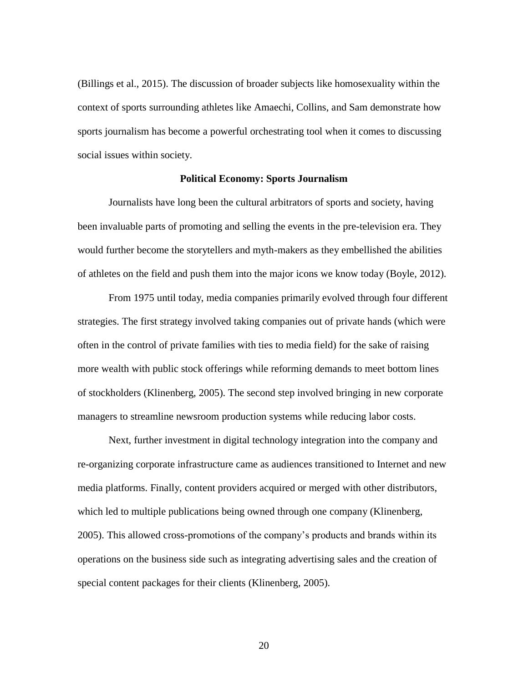(Billings et al., 2015). The discussion of broader subjects like homosexuality within the context of sports surrounding athletes like Amaechi, Collins, and Sam demonstrate how sports journalism has become a powerful orchestrating tool when it comes to discussing social issues within society.

#### **Political Economy: Sports Journalism**

Journalists have long been the cultural arbitrators of sports and society, having been invaluable parts of promoting and selling the events in the pre-television era. They would further become the storytellers and myth-makers as they embellished the abilities of athletes on the field and push them into the major icons we know today (Boyle, 2012).

From 1975 until today, media companies primarily evolved through four different strategies. The first strategy involved taking companies out of private hands (which were often in the control of private families with ties to media field) for the sake of raising more wealth with public stock offerings while reforming demands to meet bottom lines of stockholders (Klinenberg, 2005). The second step involved bringing in new corporate managers to streamline newsroom production systems while reducing labor costs.

Next, further investment in digital technology integration into the company and re-organizing corporate infrastructure came as audiences transitioned to Internet and new media platforms. Finally, content providers acquired or merged with other distributors, which led to multiple publications being owned through one company (Klinenberg, 2005). This allowed cross-promotions of the company's products and brands within its operations on the business side such as integrating advertising sales and the creation of special content packages for their clients (Klinenberg, 2005).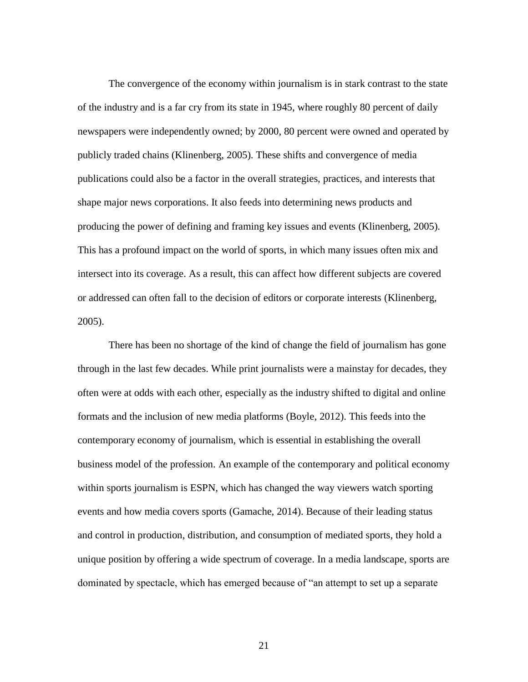The convergence of the economy within journalism is in stark contrast to the state of the industry and is a far cry from its state in 1945, where roughly 80 percent of daily newspapers were independently owned; by 2000, 80 percent were owned and operated by publicly traded chains (Klinenberg, 2005). These shifts and convergence of media publications could also be a factor in the overall strategies, practices, and interests that shape major news corporations. It also feeds into determining news products and producing the power of defining and framing key issues and events (Klinenberg, 2005). This has a profound impact on the world of sports, in which many issues often mix and intersect into its coverage. As a result, this can affect how different subjects are covered or addressed can often fall to the decision of editors or corporate interests (Klinenberg, 2005).

There has been no shortage of the kind of change the field of journalism has gone through in the last few decades. While print journalists were a mainstay for decades, they often were at odds with each other, especially as the industry shifted to digital and online formats and the inclusion of new media platforms (Boyle, 2012). This feeds into the contemporary economy of journalism, which is essential in establishing the overall business model of the profession. An example of the contemporary and political economy within sports journalism is ESPN, which has changed the way viewers watch sporting events and how media covers sports (Gamache, 2014). Because of their leading status and control in production, distribution, and consumption of mediated sports, they hold a unique position by offering a wide spectrum of coverage. In a media landscape, sports are dominated by spectacle, which has emerged because of "an attempt to set up a separate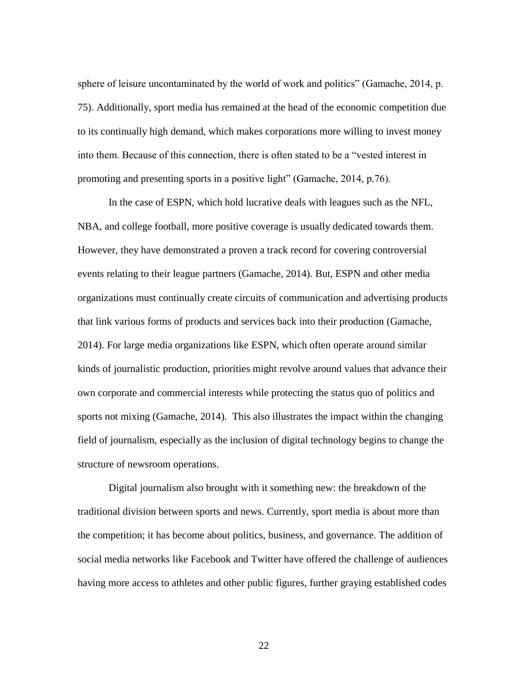sphere of leisure uncontaminated by the world of work and politics" (Gamache, 2014, p. 75). Additionally, sport media has remained at the head of the economic competition due to its continually high demand, which makes corporations more willing to invest money into them. Because of this connection, there is often stated to be a "vested interest in promoting and presenting sports in a positive light" (Gamache, 2014, p.76).

In the case of ESPN, which hold lucrative deals with leagues such as the NFL, NBA, and college football, more positive coverage is usually dedicated towards them. However, they have demonstrated a proven a track record for covering controversial events relating to their league partners (Gamache, 2014). But, ESPN and other media organizations must continually create circuits of communication and advertising products that link various forms of products and services back into their production (Gamache, 2014). For large media organizations like ESPN, which often operate around similar kinds of journalistic production, priorities might revolve around values that advance their own corporate and commercial interests while protecting the status quo of politics and sports not mixing (Gamache, 2014). This also illustrates the impact within the changing field of journalism, especially as the inclusion of digital technology begins to change the structure of newsroom operations.

Digital journalism also brought with it something new: the breakdown of the traditional division between sports and news. Currently, sport media is about more than the competition; it has become about politics, business, and governance. The addition of social media networks like Facebook and Twitter have offered the challenge of audiences having more access to athletes and other public figures, further graying established codes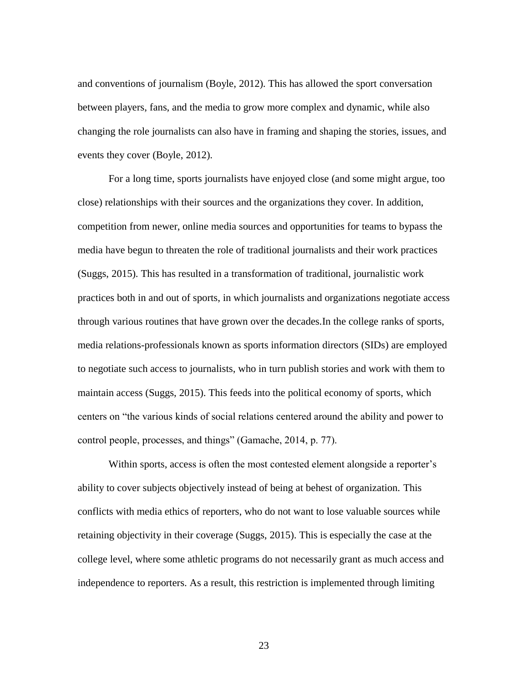and conventions of journalism (Boyle, 2012). This has allowed the sport conversation between players, fans, and the media to grow more complex and dynamic, while also changing the role journalists can also have in framing and shaping the stories, issues, and events they cover (Boyle, 2012).

For a long time, sports journalists have enjoyed close (and some might argue, too close) relationships with their sources and the organizations they cover. In addition, competition from newer, online media sources and opportunities for teams to bypass the media have begun to threaten the role of traditional journalists and their work practices (Suggs, 2015). This has resulted in a transformation of traditional, journalistic work practices both in and out of sports, in which journalists and organizations negotiate access through various routines that have grown over the decades.In the college ranks of sports, media relations-professionals known as sports information directors (SIDs) are employed to negotiate such access to journalists, who in turn publish stories and work with them to maintain access (Suggs, 2015). This feeds into the political economy of sports, which centers on "the various kinds of social relations centered around the ability and power to control people, processes, and things" (Gamache, 2014, p. 77).

Within sports, access is often the most contested element alongside a reporter's ability to cover subjects objectively instead of being at behest of organization. This conflicts with media ethics of reporters, who do not want to lose valuable sources while retaining objectivity in their coverage (Suggs, 2015). This is especially the case at the college level, where some athletic programs do not necessarily grant as much access and independence to reporters. As a result, this restriction is implemented through limiting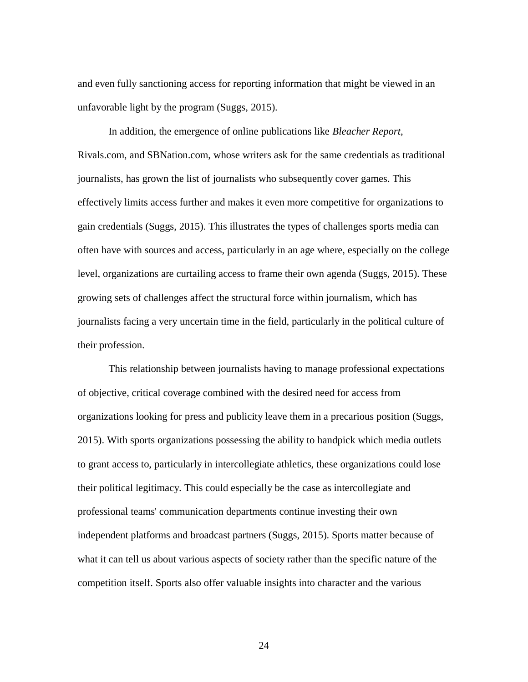and even fully sanctioning access for reporting information that might be viewed in an unfavorable light by the program (Suggs, 2015).

In addition, the emergence of online publications like *Bleacher Report*, Rivals.com, and SBNation.com, whose writers ask for the same credentials as traditional journalists, has grown the list of journalists who subsequently cover games. This effectively limits access further and makes it even more competitive for organizations to gain credentials (Suggs, 2015). This illustrates the types of challenges sports media can often have with sources and access, particularly in an age where, especially on the college level, organizations are curtailing access to frame their own agenda (Suggs, 2015). These growing sets of challenges affect the structural force within journalism, which has journalists facing a very uncertain time in the field, particularly in the political culture of their profession.

This relationship between journalists having to manage professional expectations of objective, critical coverage combined with the desired need for access from organizations looking for press and publicity leave them in a precarious position (Suggs, 2015). With sports organizations possessing the ability to handpick which media outlets to grant access to, particularly in intercollegiate athletics, these organizations could lose their political legitimacy. This could especially be the case as intercollegiate and professional teams' communication departments continue investing their own independent platforms and broadcast partners (Suggs, 2015). Sports matter because of what it can tell us about various aspects of society rather than the specific nature of the competition itself. Sports also offer valuable insights into character and the various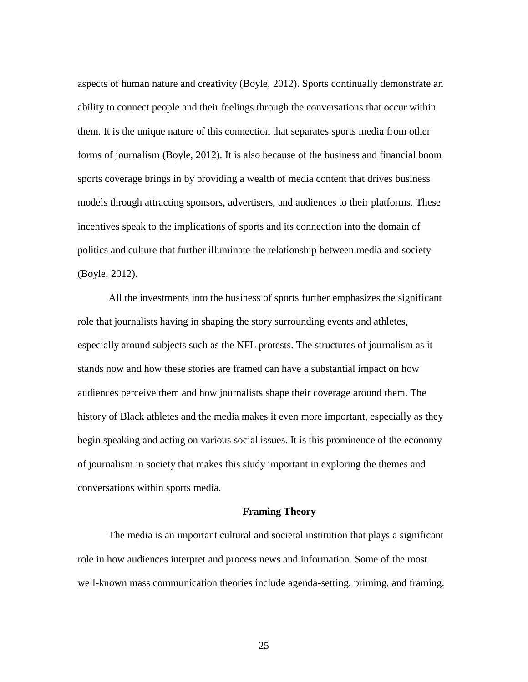aspects of human nature and creativity (Boyle, 2012). Sports continually demonstrate an ability to connect people and their feelings through the conversations that occur within them. It is the unique nature of this connection that separates sports media from other forms of journalism (Boyle, 2012). It is also because of the business and financial boom sports coverage brings in by providing a wealth of media content that drives business models through attracting sponsors, advertisers, and audiences to their platforms. These incentives speak to the implications of sports and its connection into the domain of politics and culture that further illuminate the relationship between media and society (Boyle, 2012).

All the investments into the business of sports further emphasizes the significant role that journalists having in shaping the story surrounding events and athletes, especially around subjects such as the NFL protests. The structures of journalism as it stands now and how these stories are framed can have a substantial impact on how audiences perceive them and how journalists shape their coverage around them. The history of Black athletes and the media makes it even more important, especially as they begin speaking and acting on various social issues. It is this prominence of the economy of journalism in society that makes this study important in exploring the themes and conversations within sports media.

# **Framing Theory**

The media is an important cultural and societal institution that plays a significant role in how audiences interpret and process news and information. Some of the most well-known mass communication theories include agenda-setting, priming, and framing.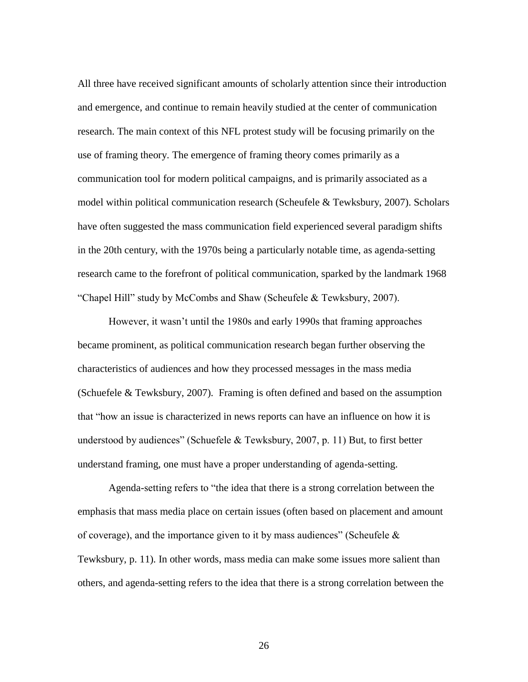All three have received significant amounts of scholarly attention since their introduction and emergence, and continue to remain heavily studied at the center of communication research. The main context of this NFL protest study will be focusing primarily on the use of framing theory. The emergence of framing theory comes primarily as a communication tool for modern political campaigns, and is primarily associated as a model within political communication research (Scheufele & Tewksbury, 2007). Scholars have often suggested the mass communication field experienced several paradigm shifts in the 20th century, with the 1970s being a particularly notable time, as agenda-setting research came to the forefront of political communication, sparked by the landmark 1968 "Chapel Hill" study by McCombs and Shaw (Scheufele & Tewksbury, 2007).

However, it wasn't until the 1980s and early 1990s that framing approaches became prominent, as political communication research began further observing the characteristics of audiences and how they processed messages in the mass media (Schuefele & Tewksbury, 2007). Framing is often defined and based on the assumption that "how an issue is characterized in news reports can have an influence on how it is understood by audiences" (Schuefele & Tewksbury, 2007, p. 11) But, to first better understand framing, one must have a proper understanding of agenda-setting.

Agenda-setting refers to "the idea that there is a strong correlation between the emphasis that mass media place on certain issues (often based on placement and amount of coverage), and the importance given to it by mass audiences" (Scheufele  $\&$ Tewksbury, p. 11). In other words, mass media can make some issues more salient than others, and agenda-setting refers to the idea that there is a strong correlation between the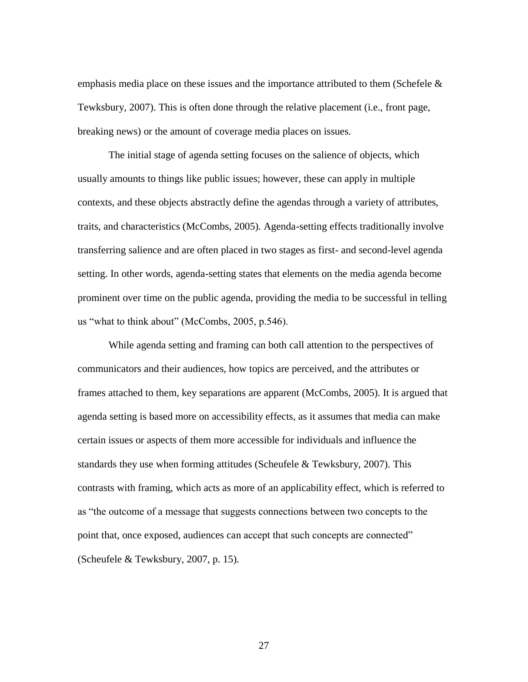emphasis media place on these issues and the importance attributed to them (Schefele  $\&$ Tewksbury, 2007). This is often done through the relative placement (i.e., front page, breaking news) or the amount of coverage media places on issues.

The initial stage of agenda setting focuses on the salience of objects, which usually amounts to things like public issues; however, these can apply in multiple contexts, and these objects abstractly define the agendas through a variety of attributes, traits, and characteristics (McCombs, 2005). Agenda-setting effects traditionally involve transferring salience and are often placed in two stages as first- and second-level agenda setting. In other words, agenda-setting states that elements on the media agenda become prominent over time on the public agenda, providing the media to be successful in telling us "what to think about" (McCombs, 2005, p.546).

While agenda setting and framing can both call attention to the perspectives of communicators and their audiences, how topics are perceived, and the attributes or frames attached to them, key separations are apparent (McCombs, 2005). It is argued that agenda setting is based more on accessibility effects, as it assumes that media can make certain issues or aspects of them more accessible for individuals and influence the standards they use when forming attitudes (Scheufele & Tewksbury, 2007). This contrasts with framing, which acts as more of an applicability effect, which is referred to as "the outcome of a message that suggests connections between two concepts to the point that, once exposed, audiences can accept that such concepts are connected" (Scheufele & Tewksbury, 2007, p. 15).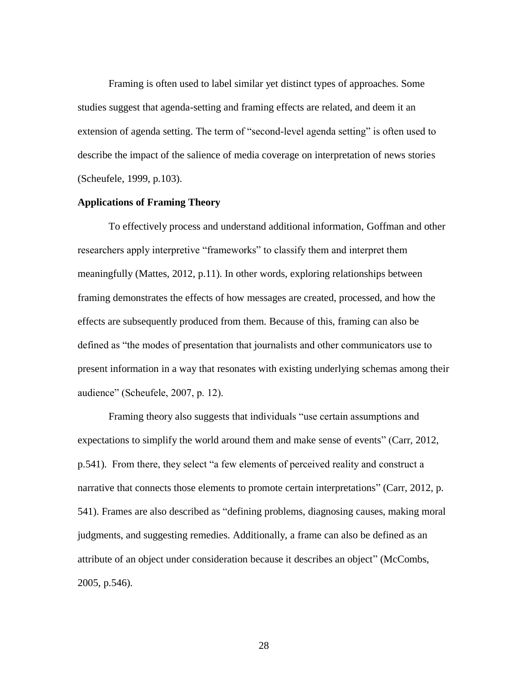Framing is often used to label similar yet distinct types of approaches. Some studies suggest that agenda-setting and framing effects are related, and deem it an extension of agenda setting. The term of "second-level agenda setting" is often used to describe the impact of the salience of media coverage on interpretation of news stories (Scheufele, 1999, p.103).

## **Applications of Framing Theory**

To effectively process and understand additional information, Goffman and other researchers apply interpretive "frameworks" to classify them and interpret them meaningfully (Mattes, 2012, p.11). In other words, exploring relationships between framing demonstrates the effects of how messages are created, processed, and how the effects are subsequently produced from them. Because of this, framing can also be defined as "the modes of presentation that journalists and other communicators use to present information in a way that resonates with existing underlying schemas among their audience" (Scheufele, 2007, p. 12).

Framing theory also suggests that individuals "use certain assumptions and expectations to simplify the world around them and make sense of events" (Carr, 2012, p.541). From there, they select "a few elements of perceived reality and construct a narrative that connects those elements to promote certain interpretations" (Carr, 2012, p. 541). Frames are also described as "defining problems, diagnosing causes, making moral judgments, and suggesting remedies. Additionally, a frame can also be defined as an attribute of an object under consideration because it describes an object" (McCombs, 2005, p.546).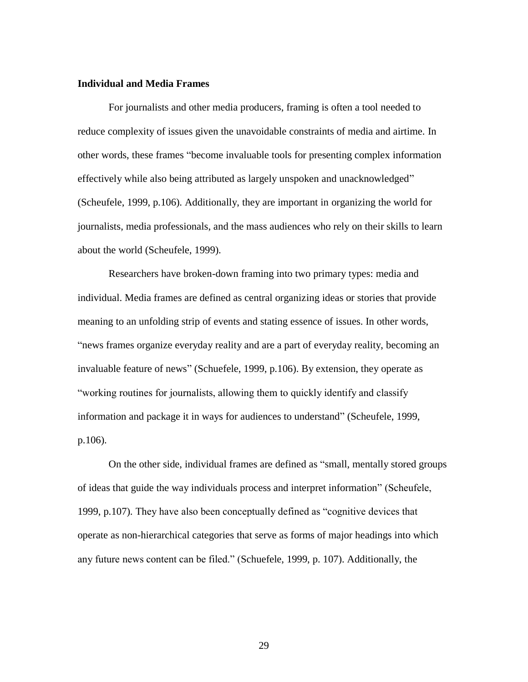# **Individual and Media Frames**

For journalists and other media producers, framing is often a tool needed to reduce complexity of issues given the unavoidable constraints of media and airtime. In other words, these frames "become invaluable tools for presenting complex information effectively while also being attributed as largely unspoken and unacknowledged" (Scheufele, 1999, p.106). Additionally, they are important in organizing the world for journalists, media professionals, and the mass audiences who rely on their skills to learn about the world (Scheufele, 1999).

Researchers have broken-down framing into two primary types: media and individual. Media frames are defined as central organizing ideas or stories that provide meaning to an unfolding strip of events and stating essence of issues. In other words, "news frames organize everyday reality and are a part of everyday reality, becoming an invaluable feature of news" (Schuefele, 1999, p.106). By extension, they operate as "working routines for journalists, allowing them to quickly identify and classify information and package it in ways for audiences to understand" (Scheufele, 1999, p.106).

On the other side, individual frames are defined as "small, mentally stored groups of ideas that guide the way individuals process and interpret information" (Scheufele, 1999, p.107). They have also been conceptually defined as "cognitive devices that operate as non-hierarchical categories that serve as forms of major headings into which any future news content can be filed." (Schuefele, 1999, p. 107). Additionally, the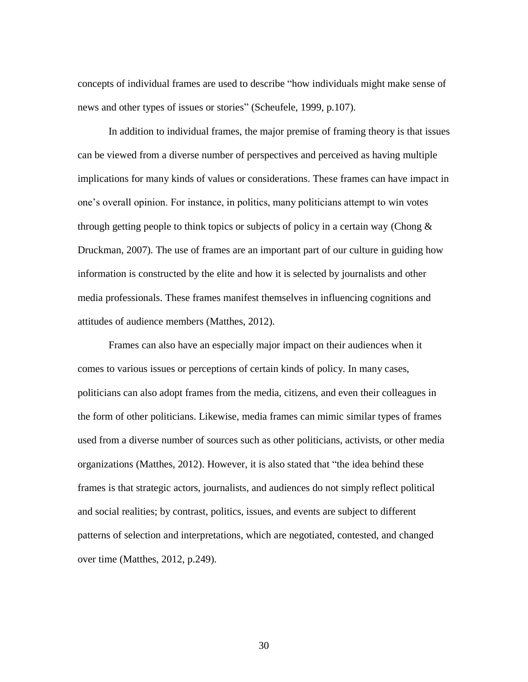concepts of individual frames are used to describe "how individuals might make sense of news and other types of issues or stories" (Scheufele, 1999, p.107).

In addition to individual frames, the major premise of framing theory is that issues can be viewed from a diverse number of perspectives and perceived as having multiple implications for many kinds of values or considerations. These frames can have impact in one's overall opinion. For instance, in politics, many politicians attempt to win votes through getting people to think topics or subjects of policy in a certain way (Chong & Druckman, 2007). The use of frames are an important part of our culture in guiding how information is constructed by the elite and how it is selected by journalists and other media professionals. These frames manifest themselves in influencing cognitions and attitudes of audience members (Matthes, 2012).

Frames can also have an especially major impact on their audiences when it comes to various issues or perceptions of certain kinds of policy. In many cases, politicians can also adopt frames from the media, citizens, and even their colleagues in the form of other politicians. Likewise, media frames can mimic similar types of frames used from a diverse number of sources such as other politicians, activists, or other media organizations (Matthes, 2012). However, it is also stated that "the idea behind these frames is that strategic actors, journalists, and audiences do not simply reflect political and social realities; by contrast, politics, issues, and events are subject to different patterns of selection and interpretations, which are negotiated, contested, and changed over time (Matthes, 2012, p.249).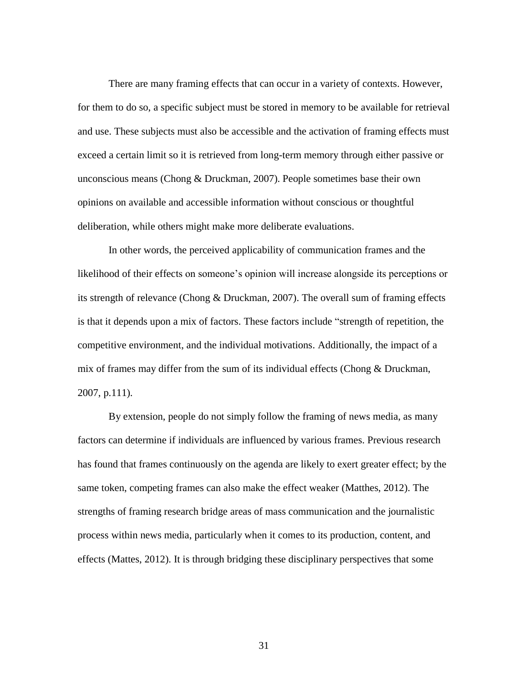There are many framing effects that can occur in a variety of contexts. However, for them to do so, a specific subject must be stored in memory to be available for retrieval and use. These subjects must also be accessible and the activation of framing effects must exceed a certain limit so it is retrieved from long-term memory through either passive or unconscious means (Chong & Druckman, 2007). People sometimes base their own opinions on available and accessible information without conscious or thoughtful deliberation, while others might make more deliberate evaluations.

In other words, the perceived applicability of communication frames and the likelihood of their effects on someone's opinion will increase alongside its perceptions or its strength of relevance (Chong & Druckman, 2007). The overall sum of framing effects is that it depends upon a mix of factors. These factors include "strength of repetition, the competitive environment, and the individual motivations. Additionally, the impact of a mix of frames may differ from the sum of its individual effects (Chong & Druckman, 2007, p.111).

By extension, people do not simply follow the framing of news media, as many factors can determine if individuals are influenced by various frames. Previous research has found that frames continuously on the agenda are likely to exert greater effect; by the same token, competing frames can also make the effect weaker (Matthes, 2012). The strengths of framing research bridge areas of mass communication and the journalistic process within news media, particularly when it comes to its production, content, and effects (Mattes, 2012). It is through bridging these disciplinary perspectives that some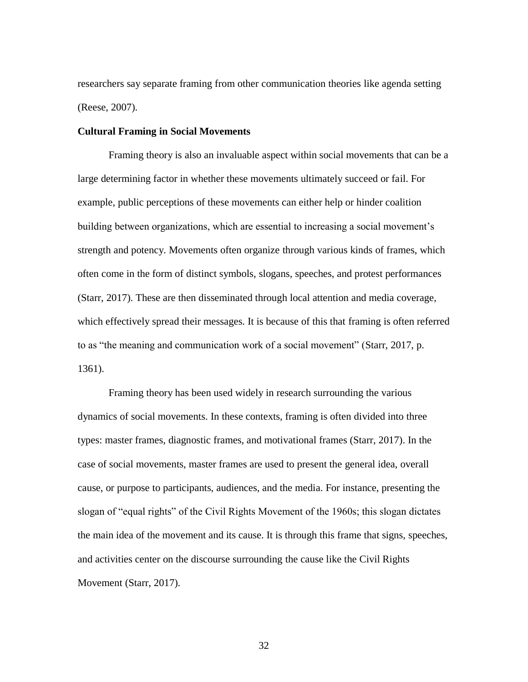researchers say separate framing from other communication theories like agenda setting (Reese, 2007).

# **Cultural Framing in Social Movements**

Framing theory is also an invaluable aspect within social movements that can be a large determining factor in whether these movements ultimately succeed or fail. For example, public perceptions of these movements can either help or hinder coalition building between organizations, which are essential to increasing a social movement's strength and potency. Movements often organize through various kinds of frames, which often come in the form of distinct symbols, slogans, speeches, and protest performances (Starr, 2017). These are then disseminated through local attention and media coverage, which effectively spread their messages. It is because of this that framing is often referred to as "the meaning and communication work of a social movement" (Starr, 2017, p. 1361).

Framing theory has been used widely in research surrounding the various dynamics of social movements. In these contexts, framing is often divided into three types: master frames, diagnostic frames, and motivational frames (Starr, 2017). In the case of social movements, master frames are used to present the general idea, overall cause, or purpose to participants, audiences, and the media. For instance, presenting the slogan of "equal rights" of the Civil Rights Movement of the 1960s; this slogan dictates the main idea of the movement and its cause. It is through this frame that signs, speeches, and activities center on the discourse surrounding the cause like the Civil Rights Movement (Starr, 2017).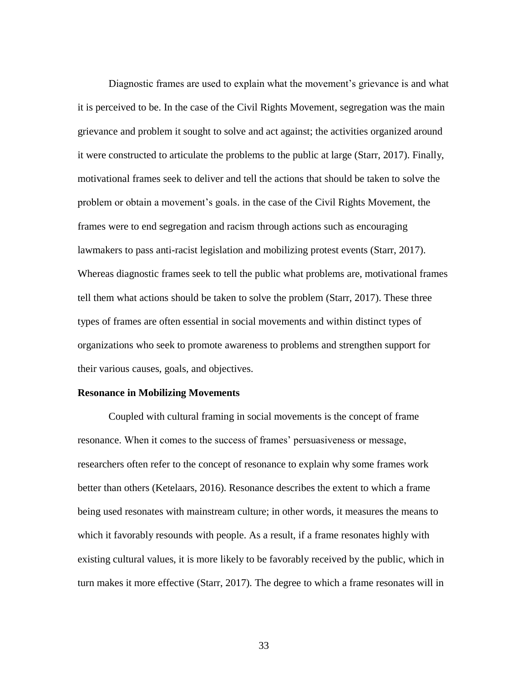Diagnostic frames are used to explain what the movement's grievance is and what it is perceived to be. In the case of the Civil Rights Movement, segregation was the main grievance and problem it sought to solve and act against; the activities organized around it were constructed to articulate the problems to the public at large (Starr, 2017). Finally, motivational frames seek to deliver and tell the actions that should be taken to solve the problem or obtain a movement's goals. in the case of the Civil Rights Movement, the frames were to end segregation and racism through actions such as encouraging lawmakers to pass anti-racist legislation and mobilizing protest events (Starr, 2017). Whereas diagnostic frames seek to tell the public what problems are, motivational frames tell them what actions should be taken to solve the problem (Starr, 2017). These three types of frames are often essential in social movements and within distinct types of organizations who seek to promote awareness to problems and strengthen support for their various causes, goals, and objectives.

# **Resonance in Mobilizing Movements**

Coupled with cultural framing in social movements is the concept of frame resonance. When it comes to the success of frames' persuasiveness or message, researchers often refer to the concept of resonance to explain why some frames work better than others (Ketelaars, 2016). Resonance describes the extent to which a frame being used resonates with mainstream culture; in other words, it measures the means to which it favorably resounds with people. As a result, if a frame resonates highly with existing cultural values, it is more likely to be favorably received by the public, which in turn makes it more effective (Starr, 2017). The degree to which a frame resonates will in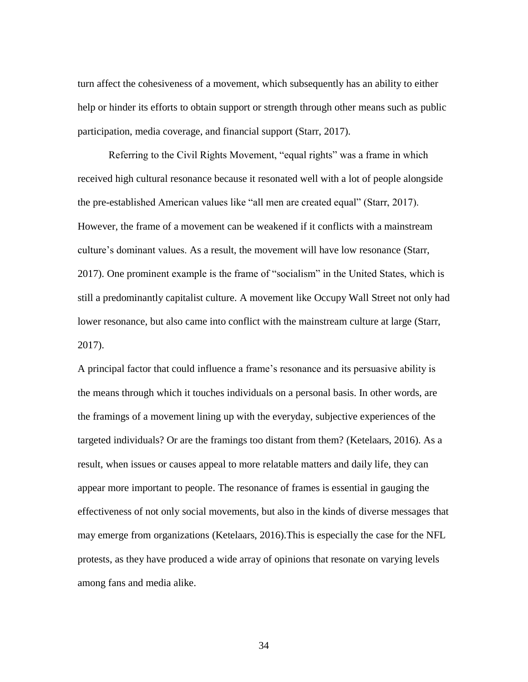turn affect the cohesiveness of a movement, which subsequently has an ability to either help or hinder its efforts to obtain support or strength through other means such as public participation, media coverage, and financial support (Starr, 2017).

Referring to the Civil Rights Movement, "equal rights" was a frame in which received high cultural resonance because it resonated well with a lot of people alongside the pre-established American values like "all men are created equal" (Starr, 2017). However, the frame of a movement can be weakened if it conflicts with a mainstream culture's dominant values. As a result, the movement will have low resonance (Starr, 2017). One prominent example is the frame of "socialism" in the United States, which is still a predominantly capitalist culture. A movement like Occupy Wall Street not only had lower resonance, but also came into conflict with the mainstream culture at large (Starr, 2017).

A principal factor that could influence a frame's resonance and its persuasive ability is the means through which it touches individuals on a personal basis. In other words, are the framings of a movement lining up with the everyday, subjective experiences of the targeted individuals? Or are the framings too distant from them? (Ketelaars, 2016). As a result, when issues or causes appeal to more relatable matters and daily life, they can appear more important to people. The resonance of frames is essential in gauging the effectiveness of not only social movements, but also in the kinds of diverse messages that may emerge from organizations (Ketelaars, 2016).This is especially the case for the NFL protests, as they have produced a wide array of opinions that resonate on varying levels among fans and media alike.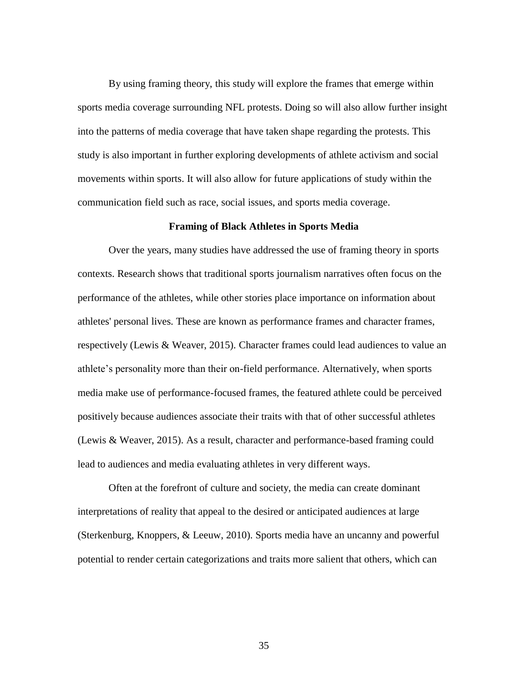By using framing theory, this study will explore the frames that emerge within sports media coverage surrounding NFL protests. Doing so will also allow further insight into the patterns of media coverage that have taken shape regarding the protests. This study is also important in further exploring developments of athlete activism and social movements within sports. It will also allow for future applications of study within the communication field such as race, social issues, and sports media coverage.

### **Framing of Black Athletes in Sports Media**

Over the years, many studies have addressed the use of framing theory in sports contexts. Research shows that traditional sports journalism narratives often focus on the performance of the athletes, while other stories place importance on information about athletes' personal lives. These are known as performance frames and character frames, respectively (Lewis & Weaver, 2015). Character frames could lead audiences to value an athlete's personality more than their on-field performance. Alternatively, when sports media make use of performance-focused frames, the featured athlete could be perceived positively because audiences associate their traits with that of other successful athletes (Lewis & Weaver, 2015). As a result, character and performance-based framing could lead to audiences and media evaluating athletes in very different ways.

Often at the forefront of culture and society, the media can create dominant interpretations of reality that appeal to the desired or anticipated audiences at large (Sterkenburg, Knoppers, & Leeuw, 2010). Sports media have an uncanny and powerful potential to render certain categorizations and traits more salient that others, which can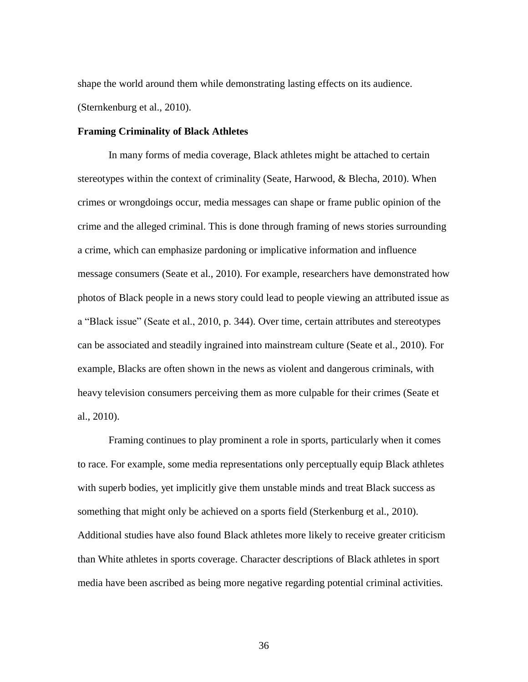shape the world around them while demonstrating lasting effects on its audience. (Sternkenburg et al., 2010).

#### **Framing Criminality of Black Athletes**

In many forms of media coverage, Black athletes might be attached to certain stereotypes within the context of criminality (Seate, Harwood, & Blecha, 2010). When crimes or wrongdoings occur, media messages can shape or frame public opinion of the crime and the alleged criminal. This is done through framing of news stories surrounding a crime, which can emphasize pardoning or implicative information and influence message consumers (Seate et al., 2010). For example, researchers have demonstrated how photos of Black people in a news story could lead to people viewing an attributed issue as a "Black issue" (Seate et al., 2010, p. 344). Over time, certain attributes and stereotypes can be associated and steadily ingrained into mainstream culture (Seate et al., 2010). For example, Blacks are often shown in the news as violent and dangerous criminals, with heavy television consumers perceiving them as more culpable for their crimes (Seate et al., 2010).

Framing continues to play prominent a role in sports, particularly when it comes to race. For example, some media representations only perceptually equip Black athletes with superb bodies, yet implicitly give them unstable minds and treat Black success as something that might only be achieved on a sports field (Sterkenburg et al., 2010). Additional studies have also found Black athletes more likely to receive greater criticism than White athletes in sports coverage. Character descriptions of Black athletes in sport media have been ascribed as being more negative regarding potential criminal activities.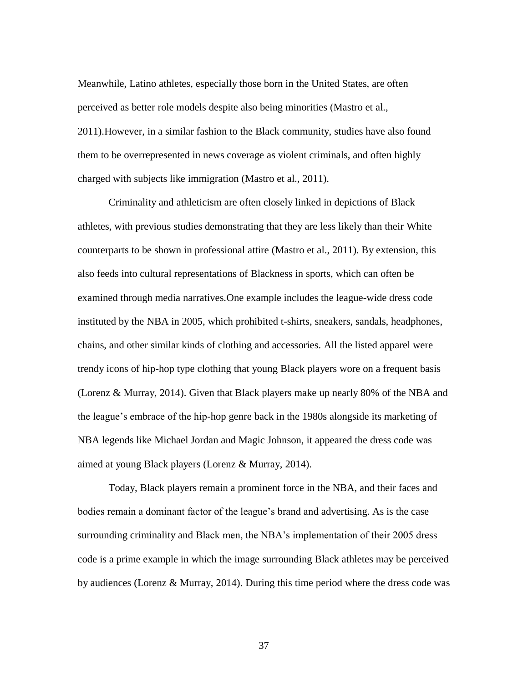Meanwhile, Latino athletes, especially those born in the United States, are often perceived as better role models despite also being minorities (Mastro et al., 2011).However, in a similar fashion to the Black community, studies have also found them to be overrepresented in news coverage as violent criminals, and often highly charged with subjects like immigration (Mastro et al., 2011).

Criminality and athleticism are often closely linked in depictions of Black athletes, with previous studies demonstrating that they are less likely than their White counterparts to be shown in professional attire (Mastro et al., 2011). By extension, this also feeds into cultural representations of Blackness in sports, which can often be examined through media narratives.One example includes the league-wide dress code instituted by the NBA in 2005, which prohibited t-shirts, sneakers, sandals, headphones, chains, and other similar kinds of clothing and accessories. All the listed apparel were trendy icons of hip-hop type clothing that young Black players wore on a frequent basis (Lorenz & Murray, 2014). Given that Black players make up nearly 80% of the NBA and the league's embrace of the hip-hop genre back in the 1980s alongside its marketing of NBA legends like Michael Jordan and Magic Johnson, it appeared the dress code was aimed at young Black players (Lorenz & Murray, 2014).

Today, Black players remain a prominent force in the NBA, and their faces and bodies remain a dominant factor of the league's brand and advertising. As is the case surrounding criminality and Black men, the NBA's implementation of their 2005 dress code is a prime example in which the image surrounding Black athletes may be perceived by audiences (Lorenz & Murray, 2014). During this time period where the dress code was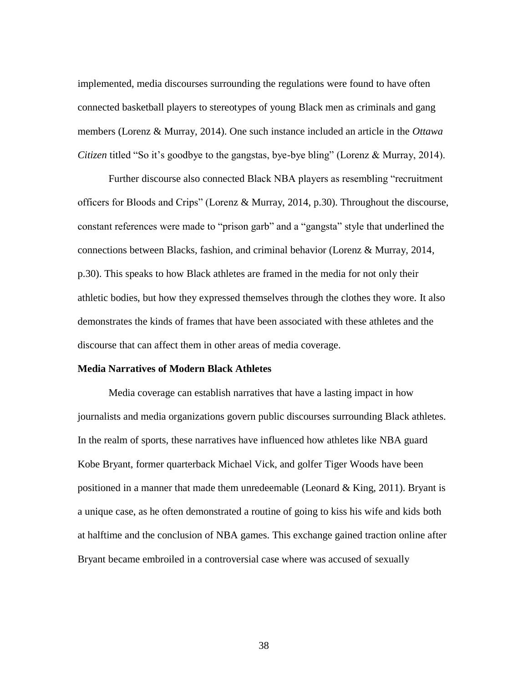implemented, media discourses surrounding the regulations were found to have often connected basketball players to stereotypes of young Black men as criminals and gang members (Lorenz & Murray, 2014). One such instance included an article in the *Ottawa Citizen* titled "So it's goodbye to the gangstas, bye-bye bling" (Lorenz & Murray, 2014).

Further discourse also connected Black NBA players as resembling "recruitment officers for Bloods and Crips" (Lorenz & Murray, 2014, p.30). Throughout the discourse, constant references were made to "prison garb" and a "gangsta" style that underlined the connections between Blacks, fashion, and criminal behavior (Lorenz & Murray, 2014, p.30). This speaks to how Black athletes are framed in the media for not only their athletic bodies, but how they expressed themselves through the clothes they wore. It also demonstrates the kinds of frames that have been associated with these athletes and the discourse that can affect them in other areas of media coverage.

# **Media Narratives of Modern Black Athletes**

Media coverage can establish narratives that have a lasting impact in how journalists and media organizations govern public discourses surrounding Black athletes. In the realm of sports, these narratives have influenced how athletes like NBA guard Kobe Bryant, former quarterback Michael Vick, and golfer Tiger Woods have been positioned in a manner that made them unredeemable (Leonard  $\&$  King, 2011). Bryant is a unique case, as he often demonstrated a routine of going to kiss his wife and kids both at halftime and the conclusion of NBA games. This exchange gained traction online after Bryant became embroiled in a controversial case where was accused of sexually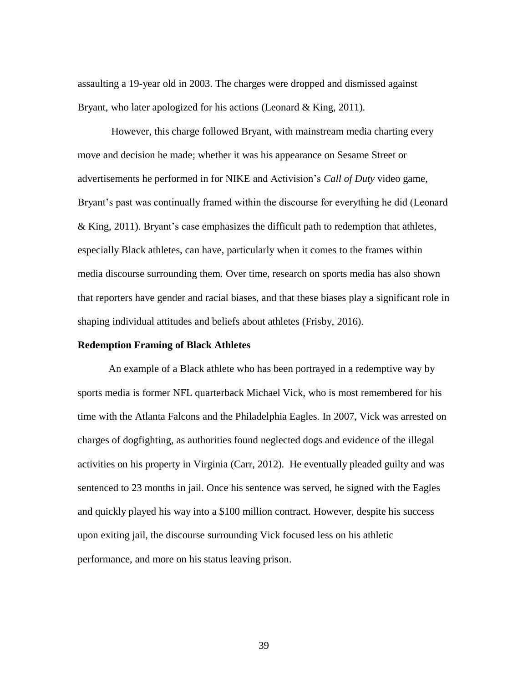assaulting a 19-year old in 2003. The charges were dropped and dismissed against Bryant, who later apologized for his actions (Leonard & King, 2011).

However, this charge followed Bryant, with mainstream media charting every move and decision he made; whether it was his appearance on Sesame Street or advertisements he performed in for NIKE and Activision's *Call of Duty* video game, Bryant's past was continually framed within the discourse for everything he did (Leonard & King, 2011). Bryant's case emphasizes the difficult path to redemption that athletes, especially Black athletes, can have, particularly when it comes to the frames within media discourse surrounding them. Over time, research on sports media has also shown that reporters have gender and racial biases, and that these biases play a significant role in shaping individual attitudes and beliefs about athletes (Frisby, 2016).

# **Redemption Framing of Black Athletes**

An example of a Black athlete who has been portrayed in a redemptive way by sports media is former NFL quarterback Michael Vick, who is most remembered for his time with the Atlanta Falcons and the Philadelphia Eagles. In 2007, Vick was arrested on charges of dogfighting, as authorities found neglected dogs and evidence of the illegal activities on his property in Virginia (Carr, 2012). He eventually pleaded guilty and was sentenced to 23 months in jail. Once his sentence was served, he signed with the Eagles and quickly played his way into a \$100 million contract. However, despite his success upon exiting jail, the discourse surrounding Vick focused less on his athletic performance, and more on his status leaving prison.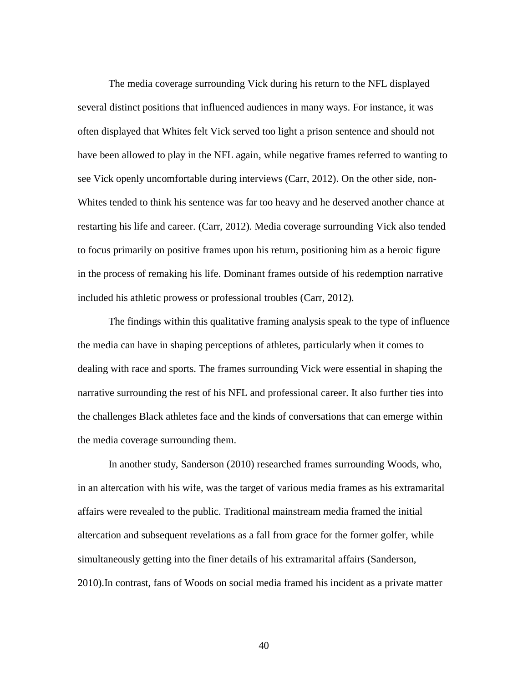The media coverage surrounding Vick during his return to the NFL displayed several distinct positions that influenced audiences in many ways. For instance, it was often displayed that Whites felt Vick served too light a prison sentence and should not have been allowed to play in the NFL again, while negative frames referred to wanting to see Vick openly uncomfortable during interviews (Carr, 2012). On the other side, non-Whites tended to think his sentence was far too heavy and he deserved another chance at restarting his life and career. (Carr, 2012). Media coverage surrounding Vick also tended to focus primarily on positive frames upon his return, positioning him as a heroic figure in the process of remaking his life. Dominant frames outside of his redemption narrative included his athletic prowess or professional troubles (Carr, 2012).

The findings within this qualitative framing analysis speak to the type of influence the media can have in shaping perceptions of athletes, particularly when it comes to dealing with race and sports. The frames surrounding Vick were essential in shaping the narrative surrounding the rest of his NFL and professional career. It also further ties into the challenges Black athletes face and the kinds of conversations that can emerge within the media coverage surrounding them.

In another study, Sanderson (2010) researched frames surrounding Woods, who, in an altercation with his wife, was the target of various media frames as his extramarital affairs were revealed to the public. Traditional mainstream media framed the initial altercation and subsequent revelations as a fall from grace for the former golfer, while simultaneously getting into the finer details of his extramarital affairs (Sanderson, 2010).In contrast, fans of Woods on social media framed his incident as a private matter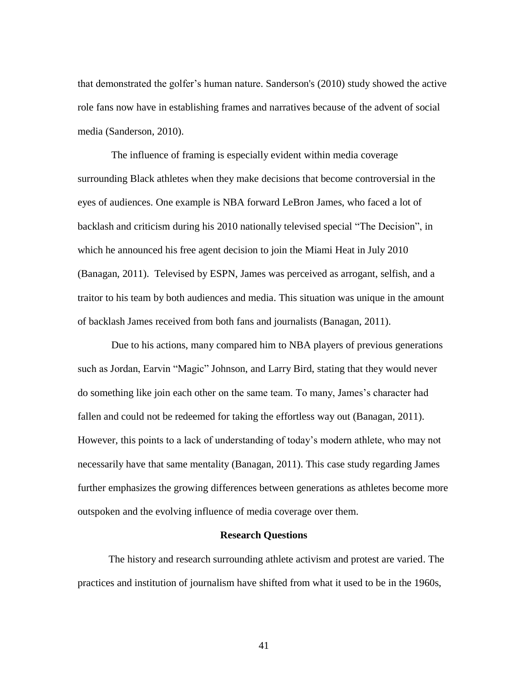that demonstrated the golfer's human nature. Sanderson's (2010) study showed the active role fans now have in establishing frames and narratives because of the advent of social media (Sanderson, 2010).

The influence of framing is especially evident within media coverage surrounding Black athletes when they make decisions that become controversial in the eyes of audiences. One example is NBA forward LeBron James, who faced a lot of backlash and criticism during his 2010 nationally televised special "The Decision", in which he announced his free agent decision to join the Miami Heat in July 2010 (Banagan, 2011). Televised by ESPN, James was perceived as arrogant, selfish, and a traitor to his team by both audiences and media. This situation was unique in the amount of backlash James received from both fans and journalists (Banagan, 2011).

Due to his actions, many compared him to NBA players of previous generations such as Jordan, Earvin "Magic" Johnson, and Larry Bird, stating that they would never do something like join each other on the same team. To many, James's character had fallen and could not be redeemed for taking the effortless way out (Banagan, 2011). However, this points to a lack of understanding of today's modern athlete, who may not necessarily have that same mentality (Banagan, 2011). This case study regarding James further emphasizes the growing differences between generations as athletes become more outspoken and the evolving influence of media coverage over them.

# **Research Questions**

The history and research surrounding athlete activism and protest are varied. The practices and institution of journalism have shifted from what it used to be in the 1960s,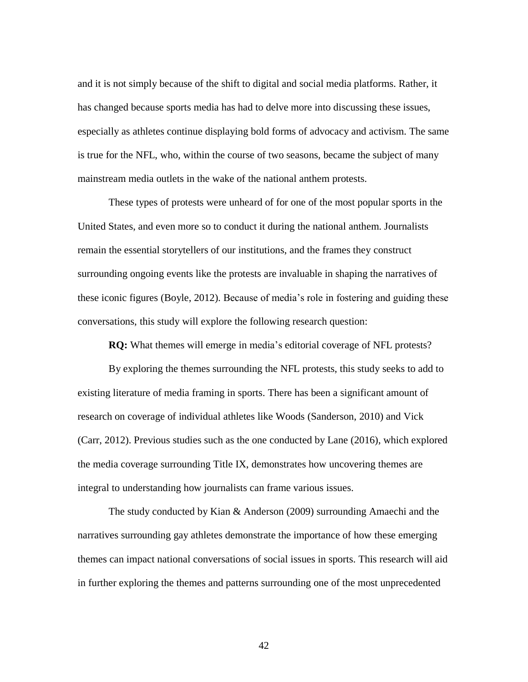and it is not simply because of the shift to digital and social media platforms. Rather, it has changed because sports media has had to delve more into discussing these issues, especially as athletes continue displaying bold forms of advocacy and activism. The same is true for the NFL, who, within the course of two seasons, became the subject of many mainstream media outlets in the wake of the national anthem protests.

These types of protests were unheard of for one of the most popular sports in the United States, and even more so to conduct it during the national anthem. Journalists remain the essential storytellers of our institutions, and the frames they construct surrounding ongoing events like the protests are invaluable in shaping the narratives of these iconic figures (Boyle, 2012). Because of media's role in fostering and guiding these conversations, this study will explore the following research question:

**RQ:** What themes will emerge in media's editorial coverage of NFL protests?

By exploring the themes surrounding the NFL protests, this study seeks to add to existing literature of media framing in sports. There has been a significant amount of research on coverage of individual athletes like Woods (Sanderson, 2010) and Vick (Carr, 2012). Previous studies such as the one conducted by Lane (2016), which explored the media coverage surrounding Title IX, demonstrates how uncovering themes are integral to understanding how journalists can frame various issues.

The study conducted by Kian & Anderson (2009) surrounding Amaechi and the narratives surrounding gay athletes demonstrate the importance of how these emerging themes can impact national conversations of social issues in sports. This research will aid in further exploring the themes and patterns surrounding one of the most unprecedented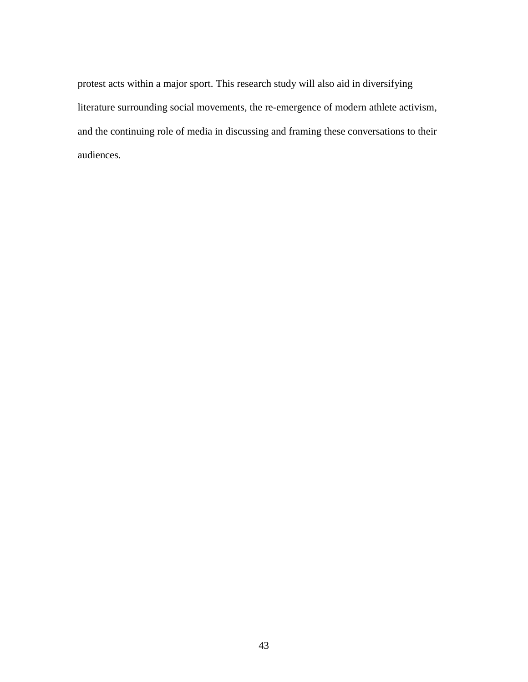protest acts within a major sport. This research study will also aid in diversifying literature surrounding social movements, the re-emergence of modern athlete activism, and the continuing role of media in discussing and framing these conversations to their audiences.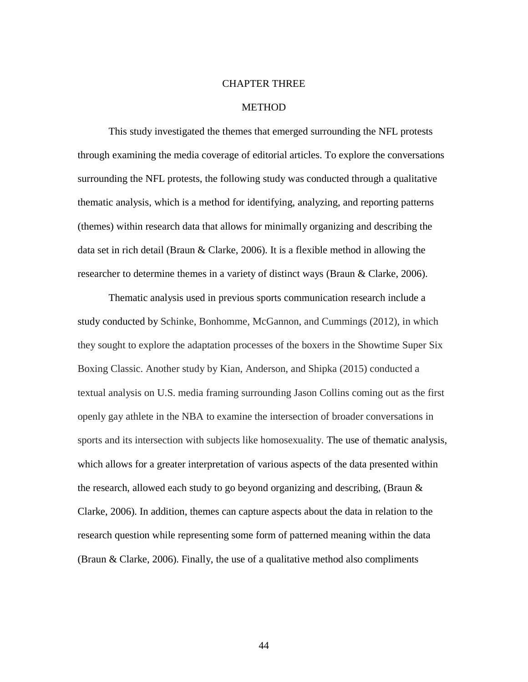### CHAPTER THREE

#### **METHOD**

This study investigated the themes that emerged surrounding the NFL protests through examining the media coverage of editorial articles. To explore the conversations surrounding the NFL protests, the following study was conducted through a qualitative thematic analysis, which is a method for identifying, analyzing, and reporting patterns (themes) within research data that allows for minimally organizing and describing the data set in rich detail (Braun & Clarke, 2006). It is a flexible method in allowing the researcher to determine themes in a variety of distinct ways (Braun & Clarke, 2006).

Thematic analysis used in previous sports communication research include a study conducted by Schinke, Bonhomme, McGannon, and Cummings (2012), in which they sought to explore the adaptation processes of the boxers in the Showtime Super Six Boxing Classic. Another study by Kian, Anderson, and Shipka (2015) conducted a textual analysis on U.S. media framing surrounding Jason Collins coming out as the first openly gay athlete in the NBA to examine the intersection of broader conversations in sports and its intersection with subjects like homosexuality. The use of thematic analysis, which allows for a greater interpretation of various aspects of the data presented within the research, allowed each study to go beyond organizing and describing, (Braun & Clarke, 2006). In addition, themes can capture aspects about the data in relation to the research question while representing some form of patterned meaning within the data (Braun & Clarke, 2006). Finally, the use of a qualitative method also compliments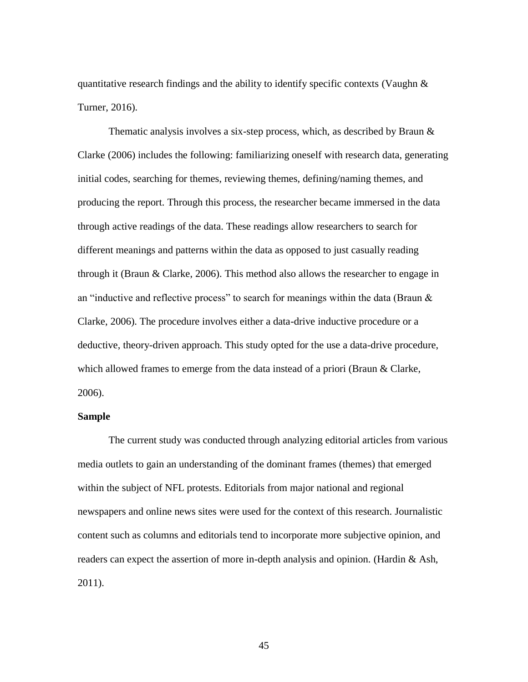quantitative research findings and the ability to identify specific contexts (Vaughn  $\&$ Turner, 2016).

Thematic analysis involves a six-step process, which, as described by Braun & Clarke (2006) includes the following: familiarizing oneself with research data, generating initial codes, searching for themes, reviewing themes, defining/naming themes, and producing the report. Through this process, the researcher became immersed in the data through active readings of the data. These readings allow researchers to search for different meanings and patterns within the data as opposed to just casually reading through it (Braun & Clarke, 2006). This method also allows the researcher to engage in an "inductive and reflective process" to search for meanings within the data (Braun  $\&$ Clarke, 2006). The procedure involves either a data-drive inductive procedure or a deductive, theory-driven approach. This study opted for the use a data-drive procedure, which allowed frames to emerge from the data instead of a priori (Braun & Clarke, 2006).

# **Sample**

The current study was conducted through analyzing editorial articles from various media outlets to gain an understanding of the dominant frames (themes) that emerged within the subject of NFL protests. Editorials from major national and regional newspapers and online news sites were used for the context of this research. Journalistic content such as columns and editorials tend to incorporate more subjective opinion, and readers can expect the assertion of more in-depth analysis and opinion. (Hardin & Ash, 2011).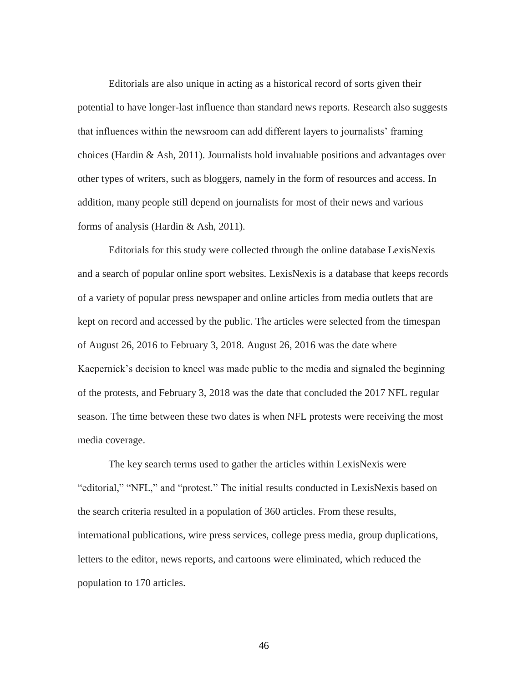Editorials are also unique in acting as a historical record of sorts given their potential to have longer-last influence than standard news reports. Research also suggests that influences within the newsroom can add different layers to journalists' framing choices (Hardin & Ash, 2011). Journalists hold invaluable positions and advantages over other types of writers, such as bloggers, namely in the form of resources and access. In addition, many people still depend on journalists for most of their news and various forms of analysis (Hardin & Ash, 2011).

Editorials for this study were collected through the online database LexisNexis and a search of popular online sport websites. LexisNexis is a database that keeps records of a variety of popular press newspaper and online articles from media outlets that are kept on record and accessed by the public. The articles were selected from the timespan of August 26, 2016 to February 3, 2018. August 26, 2016 was the date where Kaepernick's decision to kneel was made public to the media and signaled the beginning of the protests, and February 3, 2018 was the date that concluded the 2017 NFL regular season. The time between these two dates is when NFL protests were receiving the most media coverage.

The key search terms used to gather the articles within LexisNexis were "editorial," "NFL," and "protest." The initial results conducted in LexisNexis based on the search criteria resulted in a population of 360 articles. From these results, international publications, wire press services, college press media, group duplications, letters to the editor, news reports, and cartoons were eliminated, which reduced the population to 170 articles.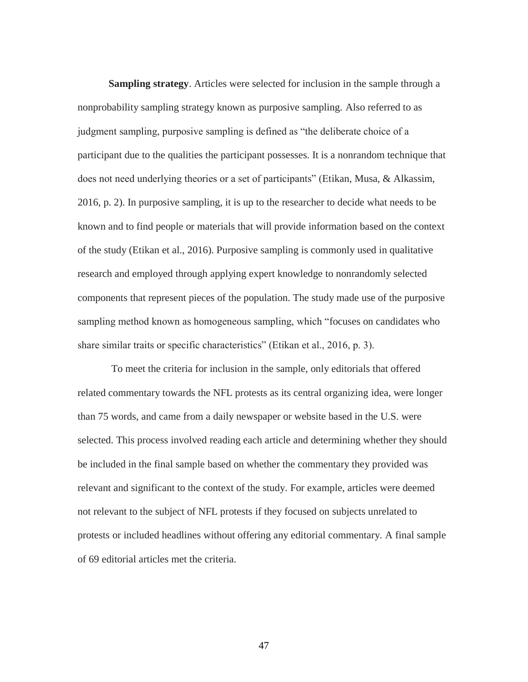**Sampling strategy**. Articles were selected for inclusion in the sample through a nonprobability sampling strategy known as purposive sampling. Also referred to as judgment sampling, purposive sampling is defined as "the deliberate choice of a participant due to the qualities the participant possesses. It is a nonrandom technique that does not need underlying theories or a set of participants" (Etikan, Musa, & Alkassim, 2016, p. 2). In purposive sampling, it is up to the researcher to decide what needs to be known and to find people or materials that will provide information based on the context of the study (Etikan et al., 2016). Purposive sampling is commonly used in qualitative research and employed through applying expert knowledge to nonrandomly selected components that represent pieces of the population. The study made use of the purposive sampling method known as homogeneous sampling, which "focuses on candidates who share similar traits or specific characteristics" (Etikan et al., 2016, p. 3).

To meet the criteria for inclusion in the sample, only editorials that offered related commentary towards the NFL protests as its central organizing idea, were longer than 75 words, and came from a daily newspaper or website based in the U.S. were selected. This process involved reading each article and determining whether they should be included in the final sample based on whether the commentary they provided was relevant and significant to the context of the study. For example, articles were deemed not relevant to the subject of NFL protests if they focused on subjects unrelated to protests or included headlines without offering any editorial commentary. A final sample of 69 editorial articles met the criteria.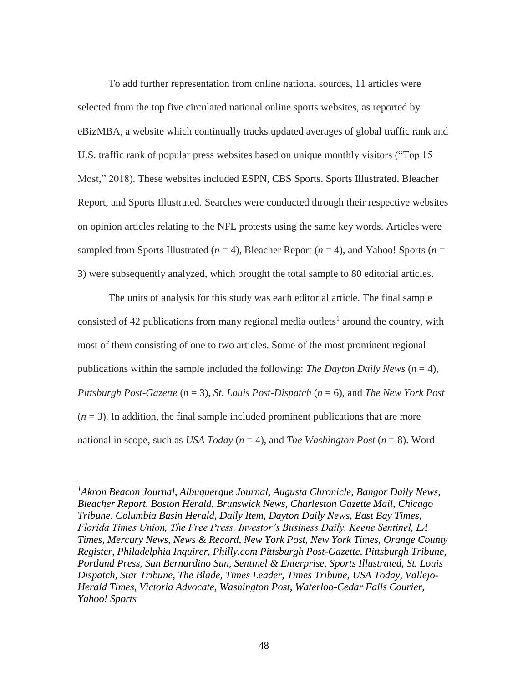To add further representation from online national sources, 11 articles were selected from the top five circulated national online sports websites, as reported by eBizMBA, a website which continually tracks updated averages of global traffic rank and U.S. traffic rank of popular press websites based on unique monthly visitors ("Top 15 Most," 2018). These websites included ESPN, CBS Sports, Sports Illustrated, Bleacher Report, and Sports Illustrated. Searches were conducted through their respective websites on opinion articles relating to the NFL protests using the same key words. Articles were sampled from Sports Illustrated ( $n = 4$ ), Bleacher Report ( $n = 4$ ), and Yahoo! Sports ( $n =$ 3) were subsequently analyzed, which brought the total sample to 80 editorial articles.

The units of analysis for this study was each editorial article. The final sample consisted of 42 publications from many regional media outlets<sup>1</sup> around the country, with most of them consisting of one to two articles. Some of the most prominent regional publications within the sample included the following: *The Dayton Daily News*  $(n = 4)$ , *Pittsburgh Post-Gazette* (*n* = 3), *St. Louis Post-Dispatch* (*n* = 6), and *The New York Post*  $(n = 3)$ . In addition, the final sample included prominent publications that are more national in scope, such as *USA Today*  $(n = 4)$ , and *The Washington Post*  $(n = 8)$ . Word

 $\overline{a}$ 

*<sup>1</sup>Akron Beacon Journal, Albuquerque Journal, Augusta Chronicle, Bangor Daily News, Bleacher Report, Boston Herald, Brunswick News, Charleston Gazette Mail, Chicago Tribune, Columbia Basin Herald, Daily Item, Dayton Daily News, East Bay Times, Florida Times Union, The Free Press, Investor's Business Daily, Keene Sentinel, LA Times, Mercury News, News & Record, New York Post, New York Times, Orange County Register, Philadelphia Inquirer, Philly.com Pittsburgh Post-Gazette, Pittsburgh Tribune, Portland Press, San Bernardino Sun, Sentinel & Enterprise, Sports Illustrated, St. Louis Dispatch, Star Tribune, The Blade, Times Leader, Times Tribune, USA Today, Vallejo-Herald Times, Victoria Advocate, Washington Post, Waterloo-Cedar Falls Courier, Yahoo! Sports*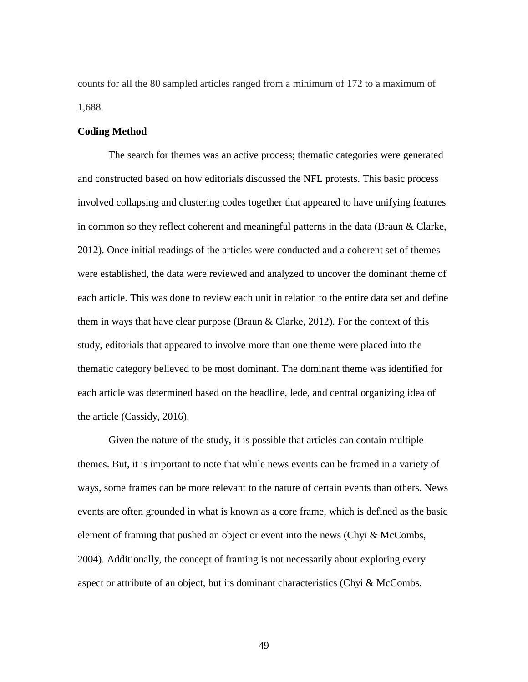counts for all the 80 sampled articles ranged from a minimum of 172 to a maximum of 1,688.

#### **Coding Method**

The search for themes was an active process; thematic categories were generated and constructed based on how editorials discussed the NFL protests. This basic process involved collapsing and clustering codes together that appeared to have unifying features in common so they reflect coherent and meaningful patterns in the data (Braun & Clarke, 2012). Once initial readings of the articles were conducted and a coherent set of themes were established, the data were reviewed and analyzed to uncover the dominant theme of each article. This was done to review each unit in relation to the entire data set and define them in ways that have clear purpose (Braun  $&$  Clarke, 2012). For the context of this study, editorials that appeared to involve more than one theme were placed into the thematic category believed to be most dominant. The dominant theme was identified for each article was determined based on the headline, lede, and central organizing idea of the article (Cassidy, 2016).

Given the nature of the study, it is possible that articles can contain multiple themes. But, it is important to note that while news events can be framed in a variety of ways, some frames can be more relevant to the nature of certain events than others. News events are often grounded in what is known as a core frame, which is defined as the basic element of framing that pushed an object or event into the news (Chyi & McCombs, 2004). Additionally, the concept of framing is not necessarily about exploring every aspect or attribute of an object, but its dominant characteristics (Chyi  $\&$  McCombs,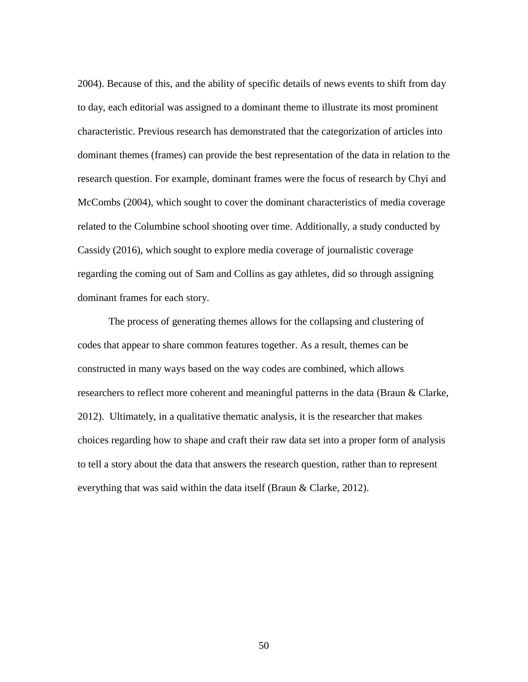2004). Because of this, and the ability of specific details of news events to shift from day to day, each editorial was assigned to a dominant theme to illustrate its most prominent characteristic. Previous research has demonstrated that the categorization of articles into dominant themes (frames) can provide the best representation of the data in relation to the research question. For example, dominant frames were the focus of research by Chyi and McCombs (2004), which sought to cover the dominant characteristics of media coverage related to the Columbine school shooting over time. Additionally, a study conducted by Cassidy (2016), which sought to explore media coverage of journalistic coverage regarding the coming out of Sam and Collins as gay athletes, did so through assigning dominant frames for each story.

The process of generating themes allows for the collapsing and clustering of codes that appear to share common features together. As a result, themes can be constructed in many ways based on the way codes are combined, which allows researchers to reflect more coherent and meaningful patterns in the data (Braun & Clarke, 2012). Ultimately, in a qualitative thematic analysis, it is the researcher that makes choices regarding how to shape and craft their raw data set into a proper form of analysis to tell a story about the data that answers the research question, rather than to represent everything that was said within the data itself (Braun & Clarke, 2012).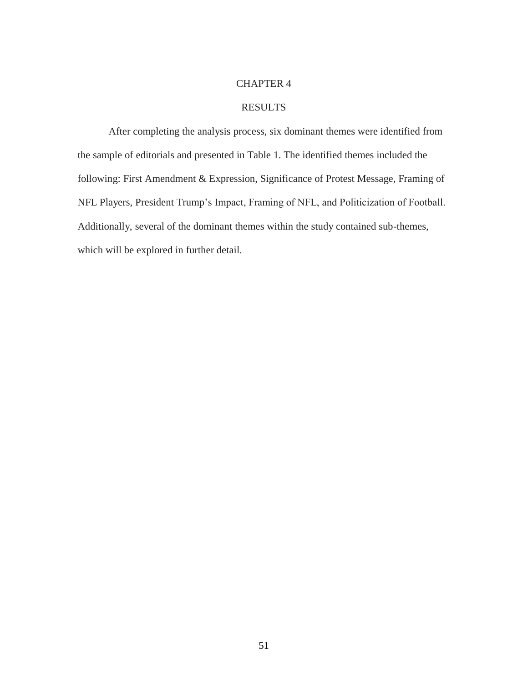# CHAPTER 4

# RESULTS

After completing the analysis process, six dominant themes were identified from the sample of editorials and presented in Table 1. The identified themes included the following: First Amendment & Expression, Significance of Protest Message, Framing of NFL Players, President Trump's Impact, Framing of NFL, and Politicization of Football. Additionally, several of the dominant themes within the study contained sub-themes, which will be explored in further detail.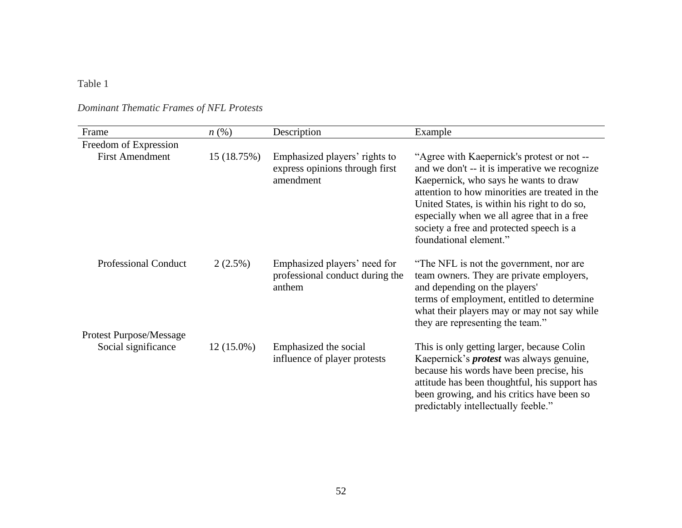# Table 1

| Frame                          | $n\left(\%\right)$ | Description                                                                  | Example                                                                                                                                                                                                                                                                                                                                                     |
|--------------------------------|--------------------|------------------------------------------------------------------------------|-------------------------------------------------------------------------------------------------------------------------------------------------------------------------------------------------------------------------------------------------------------------------------------------------------------------------------------------------------------|
| Freedom of Expression          |                    |                                                                              |                                                                                                                                                                                                                                                                                                                                                             |
| <b>First Amendment</b>         | 15 (18.75%)        | Emphasized players' rights to<br>express opinions through first<br>amendment | "Agree with Kaepernick's protest or not --<br>and we don't -- it is imperative we recognize<br>Kaepernick, who says he wants to draw<br>attention to how minorities are treated in the<br>United States, is within his right to do so,<br>especially when we all agree that in a free<br>society a free and protected speech is a<br>foundational element." |
| <b>Professional Conduct</b>    | $2(2.5\%)$         | Emphasized players' need for<br>professional conduct during the<br>anthem    | "The NFL is not the government, nor are<br>team owners. They are private employers,<br>and depending on the players'<br>terms of employment, entitled to determine<br>what their players may or may not say while<br>they are representing the team."                                                                                                       |
| <b>Protest Purpose/Message</b> |                    |                                                                              |                                                                                                                                                                                                                                                                                                                                                             |
| Social significance            | $12(15.0\%)$       | Emphasized the social<br>influence of player protests                        | This is only getting larger, because Colin<br>Kaepernick's <i>protest</i> was always genuine,<br>because his words have been precise, his<br>attitude has been thoughtful, his support has<br>been growing, and his critics have been so<br>predictably intellectually feeble."                                                                             |

*Dominant Thematic Frames of NFL Protests*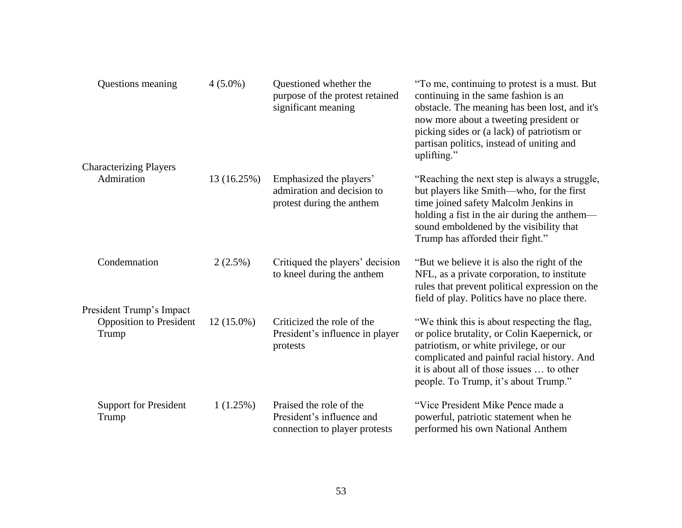| Questions meaning                                                   | $4(5.0\%)$   | Questioned whether the<br>purpose of the protest retained<br>significant meaning      | "To me, continuing to protest is a must. But<br>continuing in the same fashion is an<br>obstacle. The meaning has been lost, and it's<br>now more about a tweeting president or<br>picking sides or (a lack) of patriotism or<br>partisan politics, instead of uniting and<br>uplifting." |
|---------------------------------------------------------------------|--------------|---------------------------------------------------------------------------------------|-------------------------------------------------------------------------------------------------------------------------------------------------------------------------------------------------------------------------------------------------------------------------------------------|
| <b>Characterizing Players</b>                                       |              |                                                                                       |                                                                                                                                                                                                                                                                                           |
| Admiration                                                          | 13 (16.25%)  | Emphasized the players'<br>admiration and decision to<br>protest during the anthem    | "Reaching the next step is always a struggle,<br>but players like Smith—who, for the first<br>time joined safety Malcolm Jenkins in<br>holding a fist in the air during the anthem—<br>sound emboldened by the visibility that<br>Trump has afforded their fight."                        |
| Condemnation                                                        | $2(2.5\%)$   | Critiqued the players' decision<br>to kneel during the anthem                         | "But we believe it is also the right of the<br>NFL, as a private corporation, to institute<br>rules that prevent political expression on the<br>field of play. Politics have no place there.                                                                                              |
| President Trump's Impact<br><b>Opposition to President</b><br>Trump | $12(15.0\%)$ | Criticized the role of the<br>President's influence in player<br>protests             | "We think this is about respecting the flag,<br>or police brutality, or Colin Kaepernick, or<br>patriotism, or white privilege, or our<br>complicated and painful racial history. And<br>it is about all of those issues  to other<br>people. To Trump, it's about Trump."                |
| <b>Support for President</b><br>Trump                               | 1(1.25%)     | Praised the role of the<br>President's influence and<br>connection to player protests | "Vice President Mike Pence made a<br>powerful, patriotic statement when he<br>performed his own National Anthem                                                                                                                                                                           |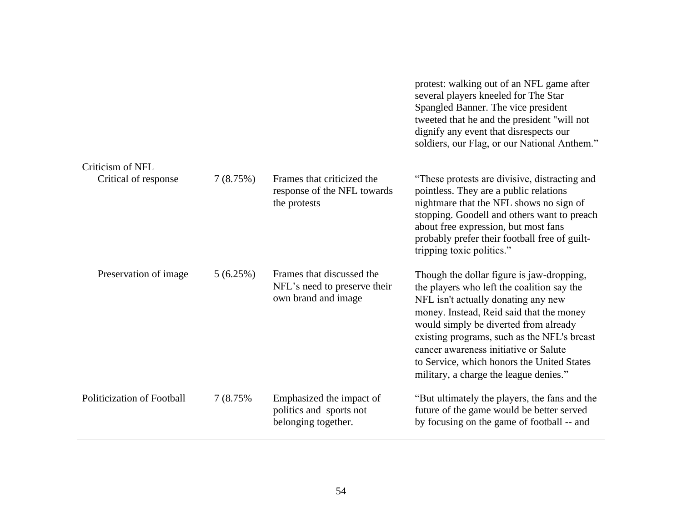|                            |           |                                                                                  | protest: walking out of an NFL game after<br>several players kneeled for The Star<br>Spangled Banner. The vice president<br>tweeted that he and the president "will not<br>dignify any event that disrespects our<br>soldiers, our Flag, or our National Anthem."                                                                                                                                   |
|----------------------------|-----------|----------------------------------------------------------------------------------|-----------------------------------------------------------------------------------------------------------------------------------------------------------------------------------------------------------------------------------------------------------------------------------------------------------------------------------------------------------------------------------------------------|
| Criticism of NFL           |           |                                                                                  |                                                                                                                                                                                                                                                                                                                                                                                                     |
| Critical of response       | 7(8.75%)  | Frames that criticized the<br>response of the NFL towards<br>the protests        | "These protests are divisive, distracting and<br>pointless. They are a public relations<br>nightmare that the NFL shows no sign of<br>stopping. Goodell and others want to preach<br>about free expression, but most fans<br>probably prefer their football free of guilt-<br>tripping toxic politics."                                                                                             |
| Preservation of image      | 5(6.25%)  | Frames that discussed the<br>NFL's need to preserve their<br>own brand and image | Though the dollar figure is jaw-dropping,<br>the players who left the coalition say the<br>NFL isn't actually donating any new<br>money. Instead, Reid said that the money<br>would simply be diverted from already<br>existing programs, such as the NFL's breast<br>cancer awareness initiative or Salute<br>to Service, which honors the United States<br>military, a charge the league denies." |
| Politicization of Football | 7 (8.75%) | Emphasized the impact of<br>politics and sports not<br>belonging together.       | "But ultimately the players, the fans and the<br>future of the game would be better served<br>by focusing on the game of football -- and                                                                                                                                                                                                                                                            |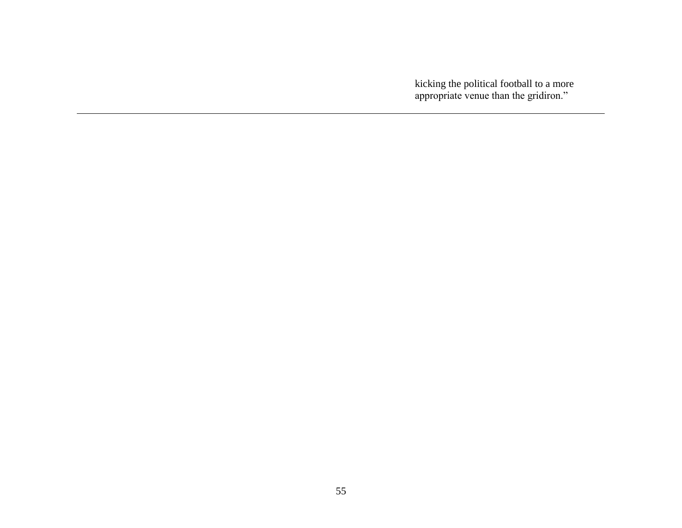kicking the political football to a more appropriate venue than the gridiron."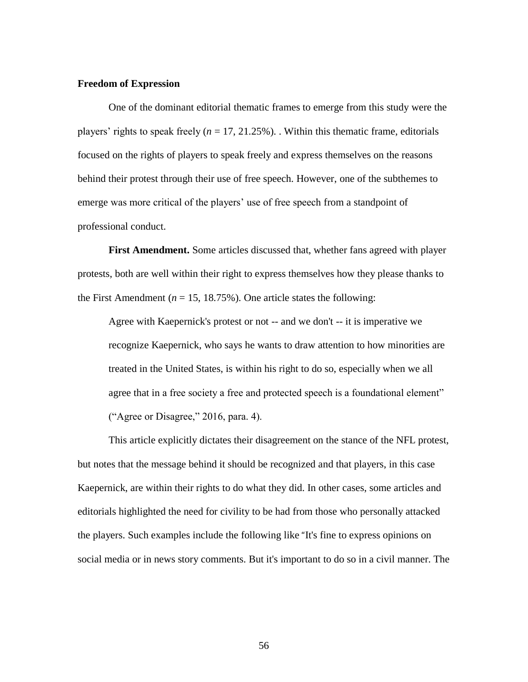### **Freedom of Expression**

One of the dominant editorial thematic frames to emerge from this study were the players' rights to speak freely  $(n = 17, 21.25\%)$ . Within this thematic frame, editorials focused on the rights of players to speak freely and express themselves on the reasons behind their protest through their use of free speech. However, one of the subthemes to emerge was more critical of the players' use of free speech from a standpoint of professional conduct.

**First Amendment.** Some articles discussed that, whether fans agreed with player protests, both are well within their right to express themselves how they please thanks to the First Amendment ( $n = 15, 18.75\%$ ). One article states the following:

Agree with Kaepernick's protest or not -- and we don't -- it is imperative we recognize Kaepernick, who says he wants to draw attention to how minorities are treated in the United States, is within his right to do so, especially when we all agree that in a free society a free and protected speech is a foundational element" ("Agree or Disagree," 2016, para. 4).

This article explicitly dictates their disagreement on the stance of the NFL protest, but notes that the message behind it should be recognized and that players, in this case Kaepernick, are within their rights to do what they did. In other cases, some articles and editorials highlighted the need for civility to be had from those who personally attacked the players. Such examples include the following like "It's fine to express opinions on social media or in news story comments. But it's important to do so in a civil manner. The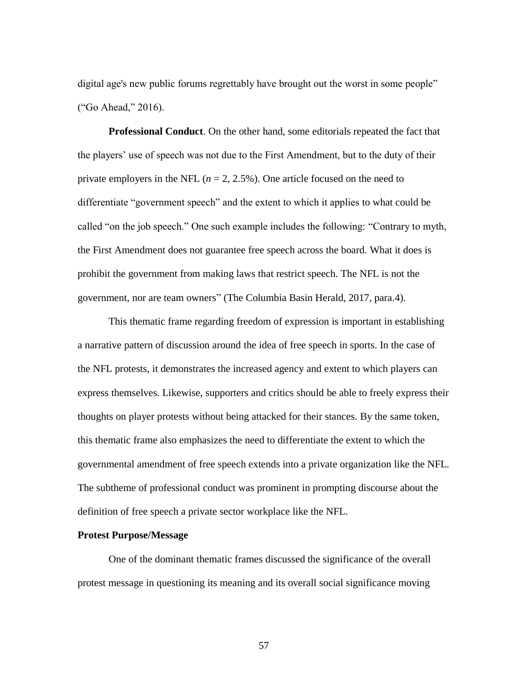digital age's new public forums regrettably have brought out the worst in some people" ("Go Ahead," 2016).

**Professional Conduct**. On the other hand, some editorials repeated the fact that the players' use of speech was not due to the First Amendment, but to the duty of their private employers in the NFL  $(n = 2, 2.5\%)$ . One article focused on the need to differentiate "government speech" and the extent to which it applies to what could be called "on the job speech." One such example includes the following: "Contrary to myth, the First Amendment does not guarantee free speech across the board. What it does is prohibit the government from making laws that restrict speech. The NFL is not the government, nor are team owners" (The Columbia Basin Herald, 2017, para.4).

This thematic frame regarding freedom of expression is important in establishing a narrative pattern of discussion around the idea of free speech in sports. In the case of the NFL protests, it demonstrates the increased agency and extent to which players can express themselves. Likewise, supporters and critics should be able to freely express their thoughts on player protests without being attacked for their stances. By the same token, this thematic frame also emphasizes the need to differentiate the extent to which the governmental amendment of free speech extends into a private organization like the NFL. The subtheme of professional conduct was prominent in prompting discourse about the definition of free speech a private sector workplace like the NFL.

# **Protest Purpose/Message**

One of the dominant thematic frames discussed the significance of the overall protest message in questioning its meaning and its overall social significance moving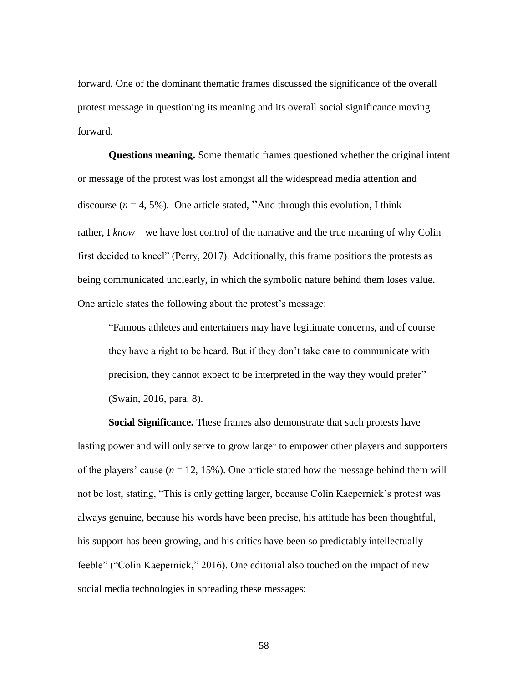forward. One of the dominant thematic frames discussed the significance of the overall protest message in questioning its meaning and its overall social significance moving forward.

**Questions meaning.** Some thematic frames questioned whether the original intent or message of the protest was lost amongst all the widespread media attention and discourse ( $n = 4, 5\%$ ). One article stated, "And through this evolution, I think rather, I *know*—we have lost control of the narrative and the true meaning of why Colin first decided to kneel" (Perry, 2017). Additionally, this frame positions the protests as being communicated unclearly, in which the symbolic nature behind them loses value. One article states the following about the protest's message:

"Famous athletes and entertainers may have legitimate concerns, and of course they have a right to be heard. But if they don't take care to communicate with precision, they cannot expect to be interpreted in the way they would prefer" (Swain, 2016, para. 8).

**Social Significance.** These frames also demonstrate that such protests have lasting power and will only serve to grow larger to empower other players and supporters of the players' cause  $(n = 12, 15\%)$ . One article stated how the message behind them will not be lost, stating, "This is only getting larger, because Colin Kaepernick's protest was always genuine, because his words have been precise, his attitude has been thoughtful, his support has been growing, and his critics have been so predictably intellectually feeble" ("Colin Kaepernick," 2016). One editorial also touched on the impact of new social media technologies in spreading these messages: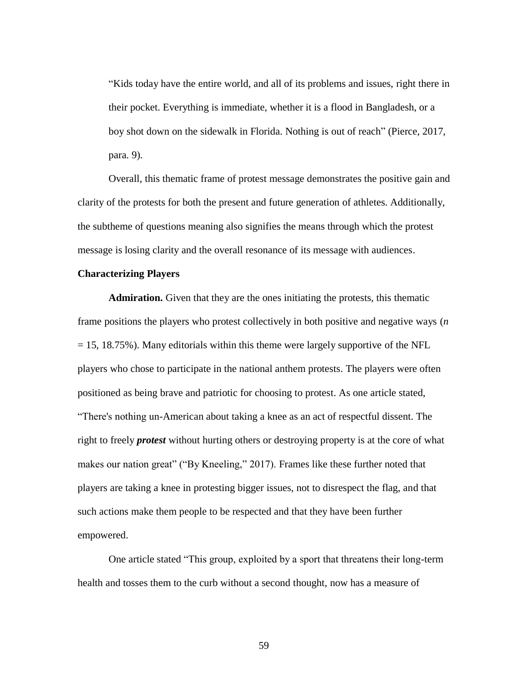"Kids today have the entire world, and all of its problems and issues, right there in their pocket. Everything is immediate, whether it is a flood in Bangladesh, or a boy shot down on the sidewalk in Florida. Nothing is out of reach" (Pierce, 2017, para. 9).

Overall, this thematic frame of protest message demonstrates the positive gain and clarity of the protests for both the present and future generation of athletes. Additionally, the subtheme of questions meaning also signifies the means through which the protest message is losing clarity and the overall resonance of its message with audiences.

### **Characterizing Players**

**Admiration.** Given that they are the ones initiating the protests, this thematic frame positions the players who protest collectively in both positive and negative ways (*n*  $= 15, 18.75\%$ ). Many editorials within this theme were largely supportive of the NFL players who chose to participate in the national anthem protests. The players were often positioned as being brave and patriotic for choosing to protest. As one article stated, "There's nothing un-American about taking a knee as an act of respectful dissent. The right to freely *protest* without hurting others or destroying property is at the core of what makes our nation great" ("By Kneeling," 2017). Frames like these further noted that players are taking a knee in protesting bigger issues, not to disrespect the flag, and that such actions make them people to be respected and that they have been further empowered.

One article stated "This group, exploited by a sport that threatens their long-term health and tosses them to the curb without a second thought, now has a measure of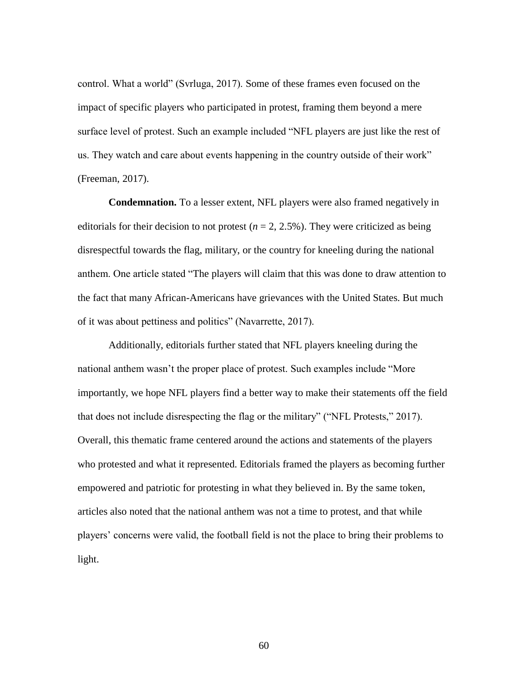control. What a world" (Svrluga, 2017). Some of these frames even focused on the impact of specific players who participated in protest, framing them beyond a mere surface level of protest. Such an example included "NFL players are just like the rest of us. They watch and care about events happening in the country outside of their work" (Freeman, 2017).

**Condemnation.** To a lesser extent, NFL players were also framed negatively in editorials for their decision to not protest ( $n = 2, 2.5\%$ ). They were criticized as being disrespectful towards the flag, military, or the country for kneeling during the national anthem. One article stated "The players will claim that this was done to draw attention to the fact that many African-Americans have grievances with the United States. But much of it was about pettiness and politics" (Navarrette, 2017).

Additionally, editorials further stated that NFL players kneeling during the national anthem wasn't the proper place of protest. Such examples include "More importantly, we hope NFL players find a better way to make their statements off the field that does not include disrespecting the flag or the military" ("NFL Protests," 2017). Overall, this thematic frame centered around the actions and statements of the players who protested and what it represented. Editorials framed the players as becoming further empowered and patriotic for protesting in what they believed in. By the same token, articles also noted that the national anthem was not a time to protest, and that while players' concerns were valid, the football field is not the place to bring their problems to light.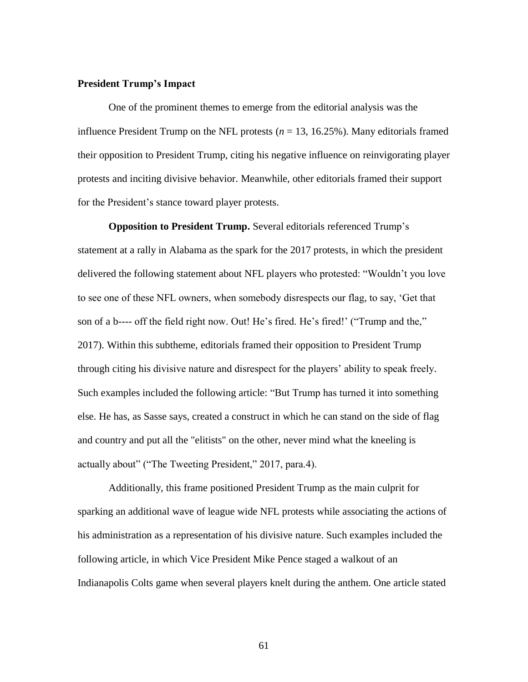### **President Trump's Impact**

One of the prominent themes to emerge from the editorial analysis was the influence President Trump on the NFL protests  $(n = 13, 16.25\%)$ . Many editorials framed their opposition to President Trump, citing his negative influence on reinvigorating player protests and inciting divisive behavior. Meanwhile, other editorials framed their support for the President's stance toward player protests.

**Opposition to President Trump.** Several editorials referenced Trump's statement at a rally in Alabama as the spark for the 2017 protests, in which the president delivered the following statement about NFL players who protested: "Wouldn't you love to see one of these NFL owners, when somebody disrespects our flag, to say, 'Get that son of a b---- off the field right now. Out! He's fired. He's fired!' ("Trump and the," 2017). Within this subtheme, editorials framed their opposition to President Trump through citing his divisive nature and disrespect for the players' ability to speak freely. Such examples included the following article: "But Trump has turned it into something else. He has, as Sasse says, created a construct in which he can stand on the side of flag and country and put all the "elitists" on the other, never mind what the kneeling is actually about" ("The Tweeting President," 2017, para.4).

Additionally, this frame positioned President Trump as the main culprit for sparking an additional wave of league wide NFL protests while associating the actions of his administration as a representation of his divisive nature. Such examples included the following article, in which Vice President Mike Pence staged a walkout of an Indianapolis Colts game when several players knelt during the anthem. One article stated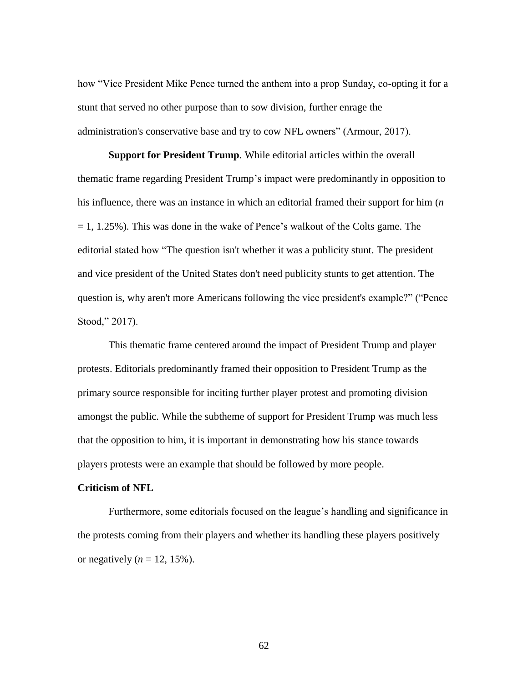how "Vice President Mike Pence turned the anthem into a prop Sunday, co-opting it for a stunt that served no other purpose than to sow division, further enrage the administration's conservative base and try to cow NFL owners" (Armour, 2017).

**Support for President Trump**. While editorial articles within the overall thematic frame regarding President Trump's impact were predominantly in opposition to his influence, there was an instance in which an editorial framed their support for him (*n*  $= 1, 1.25\%$ ). This was done in the wake of Pence's walkout of the Colts game. The editorial stated how "The question isn't whether it was a publicity stunt. The president and vice president of the United States don't need publicity stunts to get attention. The question is, why aren't more Americans following the vice president's example?" ("Pence Stood," 2017).

This thematic frame centered around the impact of President Trump and player protests. Editorials predominantly framed their opposition to President Trump as the primary source responsible for inciting further player protest and promoting division amongst the public. While the subtheme of support for President Trump was much less that the opposition to him, it is important in demonstrating how his stance towards players protests were an example that should be followed by more people.

# **Criticism of NFL**

Furthermore, some editorials focused on the league's handling and significance in the protests coming from their players and whether its handling these players positively or negatively  $(n = 12, 15\%)$ .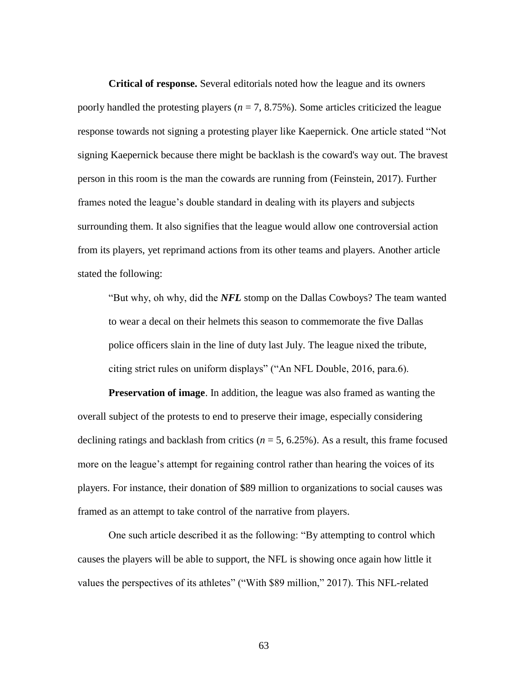**Critical of response.** Several editorials noted how the league and its owners poorly handled the protesting players ( $n = 7, 8.75\%$ ). Some articles criticized the league response towards not signing a protesting player like Kaepernick. One article stated "Not signing Kaepernick because there might be backlash is the coward's way out. The bravest person in this room is the man the cowards are running from (Feinstein, 2017). Further frames noted the league's double standard in dealing with its players and subjects surrounding them. It also signifies that the league would allow one controversial action from its players, yet reprimand actions from its other teams and players. Another article stated the following:

"But why, oh why, did the *NFL* stomp on the Dallas Cowboys? The team wanted to wear a decal on their helmets this season to commemorate the five Dallas police officers slain in the line of duty last July. The league nixed the tribute, citing strict rules on uniform displays" ("An NFL Double, 2016, para.6).

**Preservation of image**. In addition, the league was also framed as wanting the overall subject of the protests to end to preserve their image, especially considering declining ratings and backlash from critics ( $n = 5$ , 6.25%). As a result, this frame focused more on the league's attempt for regaining control rather than hearing the voices of its players. For instance, their donation of \$89 million to organizations to social causes was framed as an attempt to take control of the narrative from players.

One such article described it as the following: "By attempting to control which causes the players will be able to support, the NFL is showing once again how little it values the perspectives of its athletes" ("With \$89 million," 2017). This NFL-related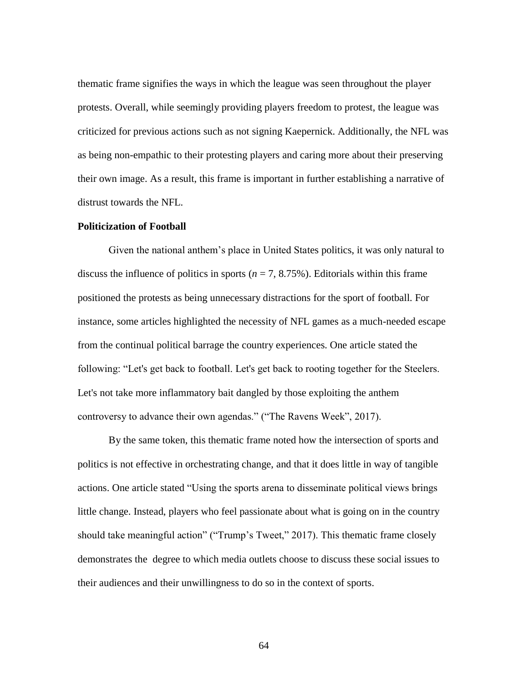thematic frame signifies the ways in which the league was seen throughout the player protests. Overall, while seemingly providing players freedom to protest, the league was criticized for previous actions such as not signing Kaepernick. Additionally, the NFL was as being non-empathic to their protesting players and caring more about their preserving their own image. As a result, this frame is important in further establishing a narrative of distrust towards the NFL.

### **Politicization of Football**

Given the national anthem's place in United States politics, it was only natural to discuss the influence of politics in sports  $(n = 7, 8.75\%)$ . Editorials within this frame positioned the protests as being unnecessary distractions for the sport of football. For instance, some articles highlighted the necessity of NFL games as a much-needed escape from the continual political barrage the country experiences. One article stated the following: "Let's get back to football. Let's get back to rooting together for the Steelers. Let's not take more inflammatory bait dangled by those exploiting the anthem controversy to advance their own agendas." ("The Ravens Week", 2017).

By the same token, this thematic frame noted how the intersection of sports and politics is not effective in orchestrating change, and that it does little in way of tangible actions. One article stated "Using the sports arena to disseminate political views brings little change. Instead, players who feel passionate about what is going on in the country should take meaningful action" ("Trump's Tweet," 2017). This thematic frame closely demonstrates the degree to which media outlets choose to discuss these social issues to their audiences and their unwillingness to do so in the context of sports.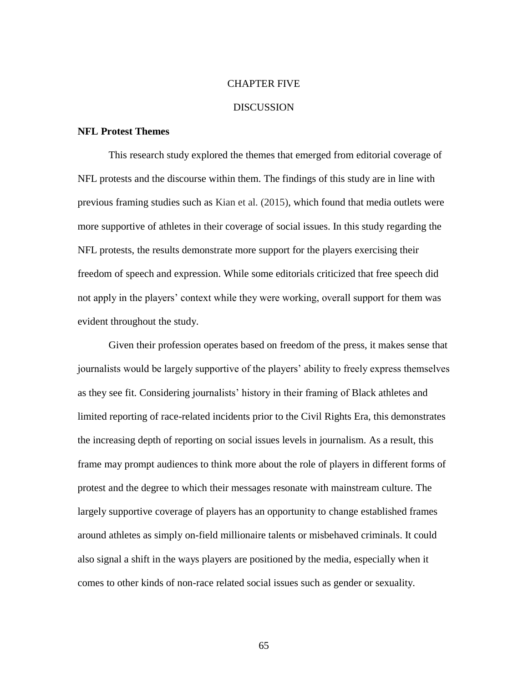### CHAPTER FIVE

# DISCUSSION

# **NFL Protest Themes**

This research study explored the themes that emerged from editorial coverage of NFL protests and the discourse within them. The findings of this study are in line with previous framing studies such as Kian et al. (2015), which found that media outlets were more supportive of athletes in their coverage of social issues. In this study regarding the NFL protests, the results demonstrate more support for the players exercising their freedom of speech and expression. While some editorials criticized that free speech did not apply in the players' context while they were working, overall support for them was evident throughout the study.

Given their profession operates based on freedom of the press, it makes sense that journalists would be largely supportive of the players' ability to freely express themselves as they see fit. Considering journalists' history in their framing of Black athletes and limited reporting of race-related incidents prior to the Civil Rights Era, this demonstrates the increasing depth of reporting on social issues levels in journalism. As a result, this frame may prompt audiences to think more about the role of players in different forms of protest and the degree to which their messages resonate with mainstream culture. The largely supportive coverage of players has an opportunity to change established frames around athletes as simply on-field millionaire talents or misbehaved criminals. It could also signal a shift in the ways players are positioned by the media, especially when it comes to other kinds of non-race related social issues such as gender or sexuality.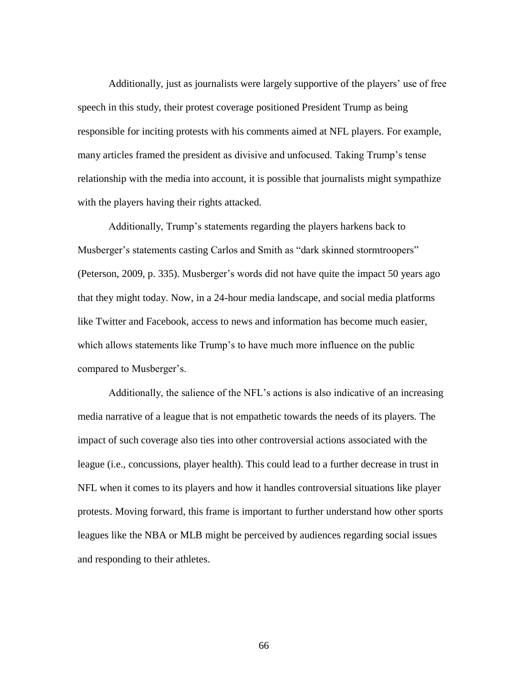Additionally, just as journalists were largely supportive of the players' use of free speech in this study, their protest coverage positioned President Trump as being responsible for inciting protests with his comments aimed at NFL players. For example, many articles framed the president as divisive and unfocused. Taking Trump's tense relationship with the media into account, it is possible that journalists might sympathize with the players having their rights attacked.

Additionally, Trump's statements regarding the players harkens back to Musberger's statements casting Carlos and Smith as "dark skinned stormtroopers" (Peterson, 2009, p. 335). Musberger's words did not have quite the impact 50 years ago that they might today. Now, in a 24-hour media landscape, and social media platforms like Twitter and Facebook, access to news and information has become much easier, which allows statements like Trump's to have much more influence on the public compared to Musberger's.

Additionally, the salience of the NFL's actions is also indicative of an increasing media narrative of a league that is not empathetic towards the needs of its players. The impact of such coverage also ties into other controversial actions associated with the league (i.e., concussions, player health). This could lead to a further decrease in trust in NFL when it comes to its players and how it handles controversial situations like player protests. Moving forward, this frame is important to further understand how other sports leagues like the NBA or MLB might be perceived by audiences regarding social issues and responding to their athletes.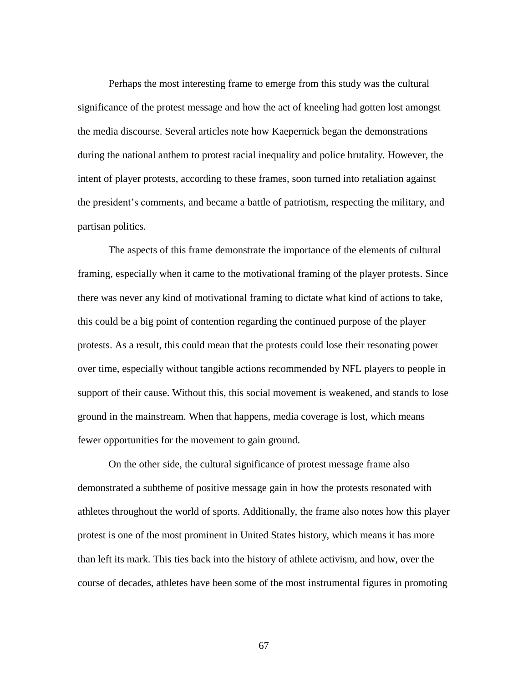Perhaps the most interesting frame to emerge from this study was the cultural significance of the protest message and how the act of kneeling had gotten lost amongst the media discourse. Several articles note how Kaepernick began the demonstrations during the national anthem to protest racial inequality and police brutality. However, the intent of player protests, according to these frames, soon turned into retaliation against the president's comments, and became a battle of patriotism, respecting the military, and partisan politics.

The aspects of this frame demonstrate the importance of the elements of cultural framing, especially when it came to the motivational framing of the player protests. Since there was never any kind of motivational framing to dictate what kind of actions to take, this could be a big point of contention regarding the continued purpose of the player protests. As a result, this could mean that the protests could lose their resonating power over time, especially without tangible actions recommended by NFL players to people in support of their cause. Without this, this social movement is weakened, and stands to lose ground in the mainstream. When that happens, media coverage is lost, which means fewer opportunities for the movement to gain ground.

On the other side, the cultural significance of protest message frame also demonstrated a subtheme of positive message gain in how the protests resonated with athletes throughout the world of sports. Additionally, the frame also notes how this player protest is one of the most prominent in United States history, which means it has more than left its mark. This ties back into the history of athlete activism, and how, over the course of decades, athletes have been some of the most instrumental figures in promoting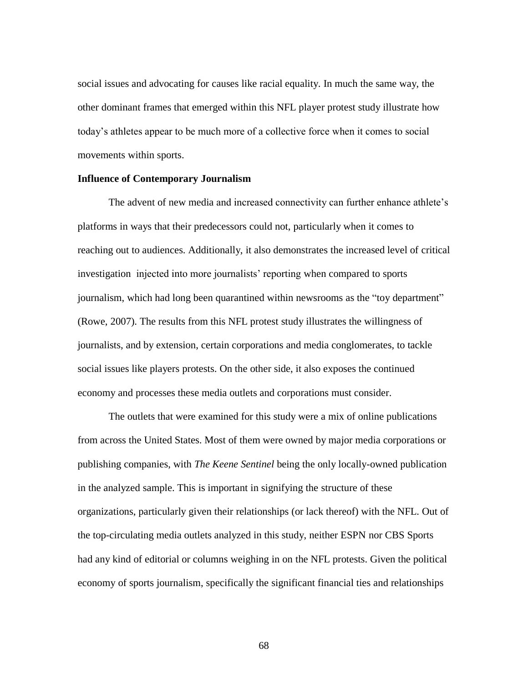social issues and advocating for causes like racial equality. In much the same way, the other dominant frames that emerged within this NFL player protest study illustrate how today's athletes appear to be much more of a collective force when it comes to social movements within sports.

#### **Influence of Contemporary Journalism**

The advent of new media and increased connectivity can further enhance athlete's platforms in ways that their predecessors could not, particularly when it comes to reaching out to audiences. Additionally, it also demonstrates the increased level of critical investigation injected into more journalists' reporting when compared to sports journalism, which had long been quarantined within newsrooms as the "toy department" (Rowe, 2007). The results from this NFL protest study illustrates the willingness of journalists, and by extension, certain corporations and media conglomerates, to tackle social issues like players protests. On the other side, it also exposes the continued economy and processes these media outlets and corporations must consider.

The outlets that were examined for this study were a mix of online publications from across the United States. Most of them were owned by major media corporations or publishing companies, with *The Keene Sentinel* being the only locally-owned publication in the analyzed sample. This is important in signifying the structure of these organizations, particularly given their relationships (or lack thereof) with the NFL. Out of the top-circulating media outlets analyzed in this study, neither ESPN nor CBS Sports had any kind of editorial or columns weighing in on the NFL protests. Given the political economy of sports journalism, specifically the significant financial ties and relationships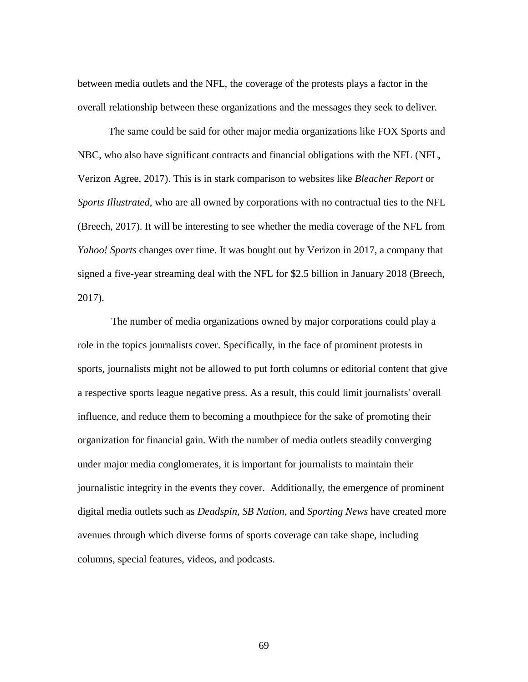between media outlets and the NFL, the coverage of the protests plays a factor in the overall relationship between these organizations and the messages they seek to deliver.

The same could be said for other major media organizations like FOX Sports and NBC, who also have significant contracts and financial obligations with the NFL (NFL, Verizon Agree, 2017). This is in stark comparison to websites like *Bleacher Report* or *Sports Illustrated*, who are all owned by corporations with no contractual ties to the NFL (Breech, 2017). It will be interesting to see whether the media coverage of the NFL from *Yahoo! Sports* changes over time. It was bought out by Verizon in 2017, a company that signed a five-year streaming deal with the NFL for \$2.5 billion in January 2018 (Breech, 2017).

The number of media organizations owned by major corporations could play a role in the topics journalists cover. Specifically, in the face of prominent protests in sports, journalists might not be allowed to put forth columns or editorial content that give a respective sports league negative press. As a result, this could limit journalists' overall influence, and reduce them to becoming a mouthpiece for the sake of promoting their organization for financial gain. With the number of media outlets steadily converging under major media conglomerates, it is important for journalists to maintain their journalistic integrity in the events they cover. Additionally, the emergence of prominent digital media outlets such as *Deadspin*, *SB Nation*, and *Sporting News* have created more avenues through which diverse forms of sports coverage can take shape, including columns, special features, videos, and podcasts.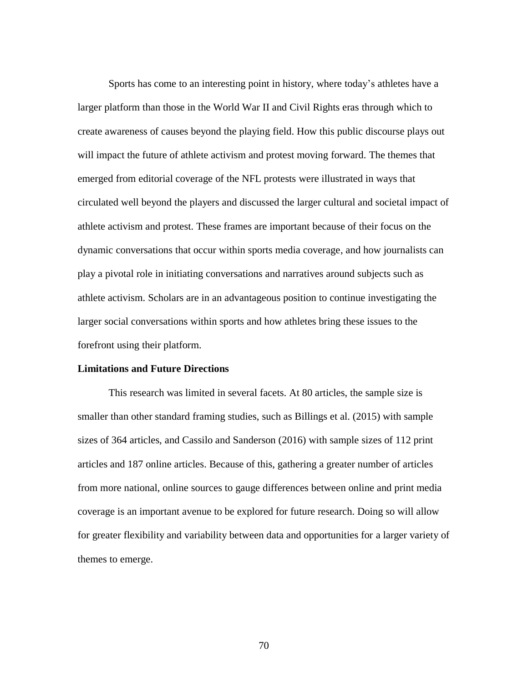Sports has come to an interesting point in history, where today's athletes have a larger platform than those in the World War II and Civil Rights eras through which to create awareness of causes beyond the playing field. How this public discourse plays out will impact the future of athlete activism and protest moving forward. The themes that emerged from editorial coverage of the NFL protests were illustrated in ways that circulated well beyond the players and discussed the larger cultural and societal impact of athlete activism and protest. These frames are important because of their focus on the dynamic conversations that occur within sports media coverage, and how journalists can play a pivotal role in initiating conversations and narratives around subjects such as athlete activism. Scholars are in an advantageous position to continue investigating the larger social conversations within sports and how athletes bring these issues to the forefront using their platform.

# **Limitations and Future Directions**

This research was limited in several facets. At 80 articles, the sample size is smaller than other standard framing studies, such as Billings et al. (2015) with sample sizes of 364 articles, and Cassilo and Sanderson (2016) with sample sizes of 112 print articles and 187 online articles. Because of this, gathering a greater number of articles from more national, online sources to gauge differences between online and print media coverage is an important avenue to be explored for future research. Doing so will allow for greater flexibility and variability between data and opportunities for a larger variety of themes to emerge.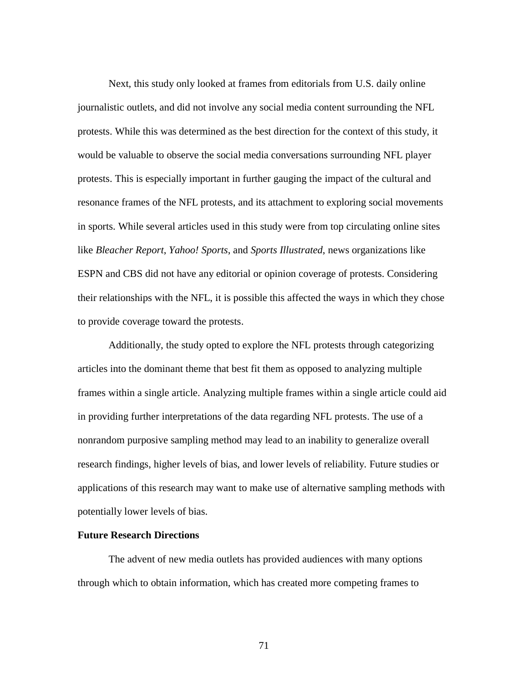Next, this study only looked at frames from editorials from U.S. daily online journalistic outlets, and did not involve any social media content surrounding the NFL protests. While this was determined as the best direction for the context of this study, it would be valuable to observe the social media conversations surrounding NFL player protests. This is especially important in further gauging the impact of the cultural and resonance frames of the NFL protests, and its attachment to exploring social movements in sports. While several articles used in this study were from top circulating online sites like *Bleacher Report*, *Yahoo! Sports*, and *Sports Illustrated*, news organizations like ESPN and CBS did not have any editorial or opinion coverage of protests. Considering their relationships with the NFL, it is possible this affected the ways in which they chose to provide coverage toward the protests.

Additionally, the study opted to explore the NFL protests through categorizing articles into the dominant theme that best fit them as opposed to analyzing multiple frames within a single article. Analyzing multiple frames within a single article could aid in providing further interpretations of the data regarding NFL protests. The use of a nonrandom purposive sampling method may lead to an inability to generalize overall research findings, higher levels of bias, and lower levels of reliability. Future studies or applications of this research may want to make use of alternative sampling methods with potentially lower levels of bias.

## **Future Research Directions**

The advent of new media outlets has provided audiences with many options through which to obtain information, which has created more competing frames to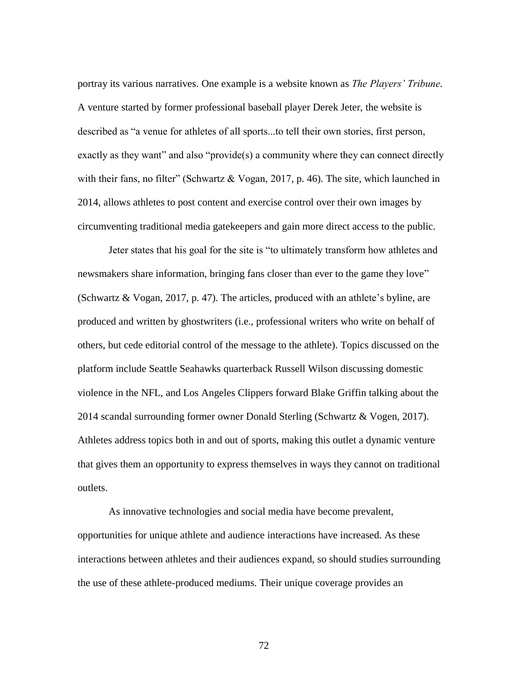portray its various narratives. One example is a website known as *The Players' Tribune.*  A venture started by former professional baseball player Derek Jeter, the website is described as "a venue for athletes of all sports...to tell their own stories, first person, exactly as they want" and also "provide(s) a community where they can connect directly with their fans, no filter" (Schwartz & Vogan, 2017, p. 46). The site, which launched in 2014, allows athletes to post content and exercise control over their own images by circumventing traditional media gatekeepers and gain more direct access to the public.

Jeter states that his goal for the site is "to ultimately transform how athletes and newsmakers share information, bringing fans closer than ever to the game they love" (Schwartz & Vogan, 2017, p. 47). The articles, produced with an athlete's byline, are produced and written by ghostwriters (i.e., professional writers who write on behalf of others, but cede editorial control of the message to the athlete). Topics discussed on the platform include Seattle Seahawks quarterback Russell Wilson discussing domestic violence in the NFL, and Los Angeles Clippers forward Blake Griffin talking about the 2014 scandal surrounding former owner Donald Sterling (Schwartz & Vogen, 2017). Athletes address topics both in and out of sports, making this outlet a dynamic venture that gives them an opportunity to express themselves in ways they cannot on traditional outlets.

As innovative technologies and social media have become prevalent, opportunities for unique athlete and audience interactions have increased. As these interactions between athletes and their audiences expand, so should studies surrounding the use of these athlete-produced mediums. Their unique coverage provides an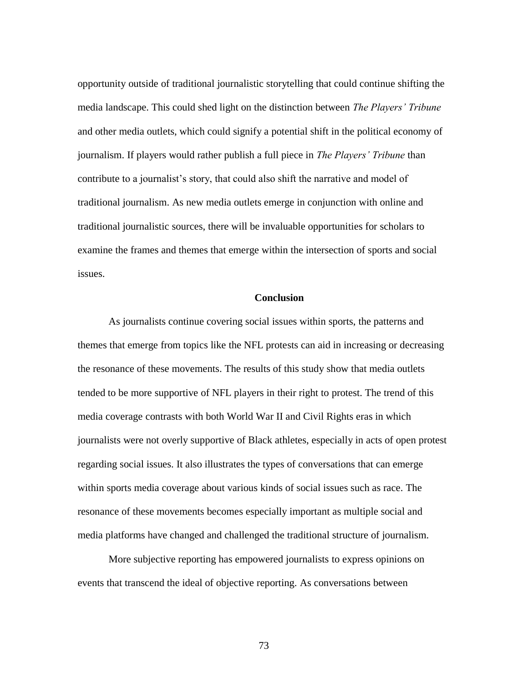opportunity outside of traditional journalistic storytelling that could continue shifting the media landscape. This could shed light on the distinction between *The Players' Tribune* and other media outlets, which could signify a potential shift in the political economy of journalism. If players would rather publish a full piece in *The Players' Tribune* than contribute to a journalist's story, that could also shift the narrative and model of traditional journalism. As new media outlets emerge in conjunction with online and traditional journalistic sources, there will be invaluable opportunities for scholars to examine the frames and themes that emerge within the intersection of sports and social issues.

## **Conclusion**

As journalists continue covering social issues within sports, the patterns and themes that emerge from topics like the NFL protests can aid in increasing or decreasing the resonance of these movements. The results of this study show that media outlets tended to be more supportive of NFL players in their right to protest. The trend of this media coverage contrasts with both World War II and Civil Rights eras in which journalists were not overly supportive of Black athletes, especially in acts of open protest regarding social issues. It also illustrates the types of conversations that can emerge within sports media coverage about various kinds of social issues such as race. The resonance of these movements becomes especially important as multiple social and media platforms have changed and challenged the traditional structure of journalism.

More subjective reporting has empowered journalists to express opinions on events that transcend the ideal of objective reporting. As conversations between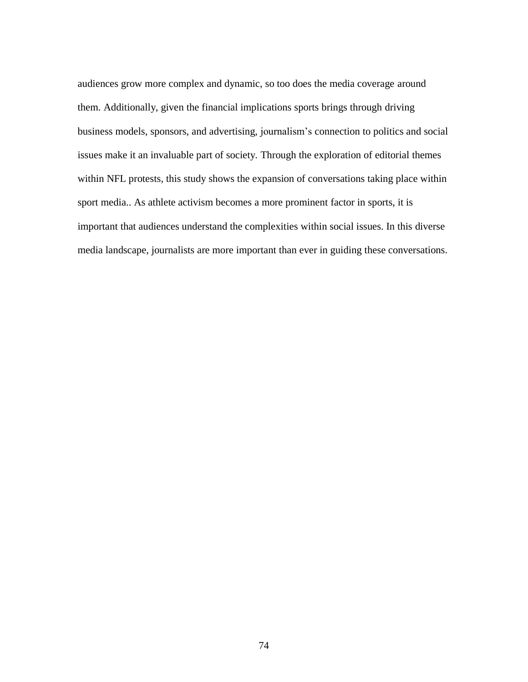audiences grow more complex and dynamic, so too does the media coverage around them. Additionally, given the financial implications sports brings through driving business models, sponsors, and advertising, journalism's connection to politics and social issues make it an invaluable part of society. Through the exploration of editorial themes within NFL protests, this study shows the expansion of conversations taking place within sport media.. As athlete activism becomes a more prominent factor in sports, it is important that audiences understand the complexities within social issues. In this diverse media landscape, journalists are more important than ever in guiding these conversations.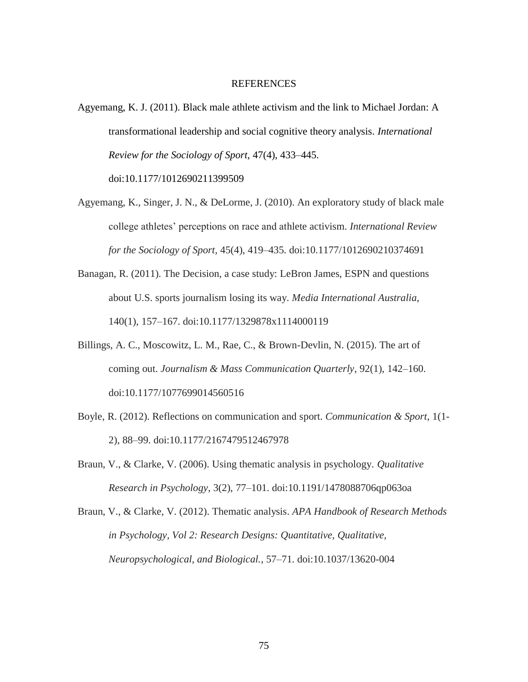#### REFERENCES

Agyemang, K. J. (2011). Black male athlete activism and the link to Michael Jordan: A transformational leadership and social cognitive theory analysis. *International Review for the Sociology of Sport*, 47(4), 433–445.

doi:10.1177/1012690211399509

- Agyemang, K., Singer, J. N., & DeLorme, J. (2010). An exploratory study of black male college athletes' perceptions on race and athlete activism. *International Review for the Sociology of Sport*, 45(4), 419–435. doi:10.1177/1012690210374691
- Banagan, R. (2011). The Decision, a case study: LeBron James, ESPN and questions about U.S. sports journalism losing its way. *Media International Australia*, 140(1), 157–167. doi:10.1177/1329878x1114000119
- Billings, A. C., Moscowitz, L. M., Rae, C., & Brown-Devlin, N. (2015). The art of coming out. *Journalism & Mass Communication Quarterly*, 92(1), 142–160. doi:10.1177/1077699014560516
- Boyle, R. (2012). Reflections on communication and sport. *Communication & Sport*, 1(1- 2), 88–99. doi:10.1177/2167479512467978
- Braun, V., & Clarke, V. (2006). Using thematic analysis in psychology. *Qualitative Research in Psychology*, 3(2), 77–101. doi:10.1191/1478088706qp063oa
- Braun, V., & Clarke, V. (2012). Thematic analysis. *APA Handbook of Research Methods in Psychology, Vol 2: Research Designs: Quantitative, Qualitative, Neuropsychological, and Biological.*, 57–71. doi:10.1037/13620-004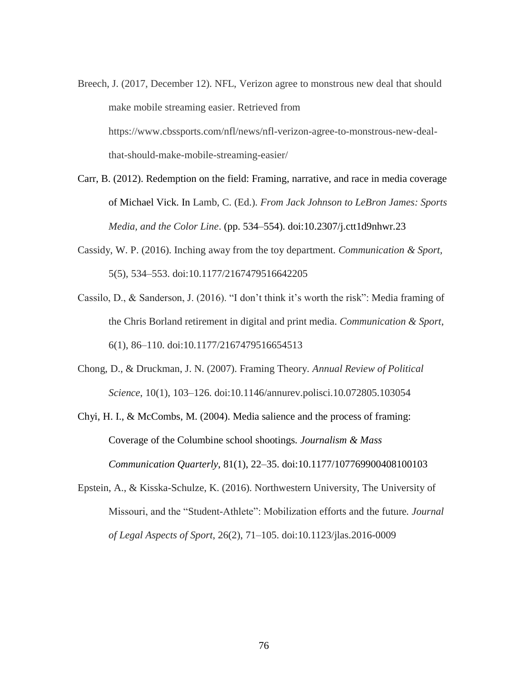- Breech, J. (2017, December 12). NFL, Verizon agree to monstrous new deal that should make mobile streaming easier. Retrieved from https://www.cbssports.com/nfl/news/nfl-verizon-agree-to-monstrous-new-dealthat-should-make-mobile-streaming-easier/
- Carr, B. (2012). Redemption on the field: Framing, narrative, and race in media coverage of Michael Vick. In Lamb, C. (Ed.). *From Jack Johnson to LeBron James: Sports Media, and the Color Line*. (pp. 534–554). doi:10.2307/j.ctt1d9nhwr.23
- Cassidy, W. P. (2016). Inching away from the toy department. *Communication & Sport,* 5(5), 534–553. doi:10.1177/2167479516642205
- Cassilo, D., & Sanderson, J. (2016). "I don't think it's worth the risk": Media framing of the Chris Borland retirement in digital and print media. *Communication & Sport*, 6(1), 86–110. doi:10.1177/2167479516654513
- Chong, D., & Druckman, J. N. (2007). Framing Theory. *Annual Review of Political Science*, 10(1), 103–126. doi:10.1146/annurev.polisci.10.072805.103054
- Chyi, H. I., & McCombs, M. (2004). Media salience and the process of framing: Coverage of the Columbine school shootings*. Journalism & Mass Communication Quarterly*, 81(1), 22–35. doi:10.1177/107769900408100103
- Epstein, A., & Kisska-Schulze, K. (2016). Northwestern University, The University of Missouri, and the "Student-Athlete": Mobilization efforts and the future*. Journal of Legal Aspects of Sport*, 26(2), 71–105. doi:10.1123/jlas.2016-0009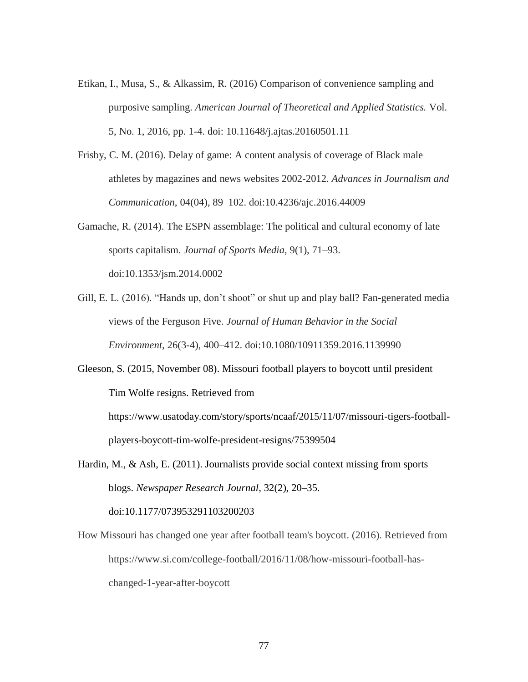- Etikan, I., Musa, S., & Alkassim, R. (2016) Comparison of convenience sampling and purposive sampling. *American Journal of Theoretical and Applied Statistics.* Vol. 5, No. 1, 2016, pp. 1-4. doi: 10.11648/j.ajtas.20160501.11
- Frisby, C. M. (2016). Delay of game: A content analysis of coverage of Black male athletes by magazines and news websites 2002-2012. *Advances in Journalism and Communication*, 04(04), 89–102. doi:10.4236/ajc.2016.44009
- Gamache, R. (2014). The ESPN assemblage: The political and cultural economy of late sports capitalism. *Journal of Sports Media*, 9(1), 71–93. doi:10.1353/jsm.2014.0002
- Gill, E. L. (2016). "Hands up, don't shoot" or shut up and play ball? Fan-generated media views of the Ferguson Five. *Journal of Human Behavior in the Social Environment*, 26(3-4), 400–412. doi:10.1080/10911359.2016.1139990
- Gleeson, S. (2015, November 08). Missouri football players to boycott until president Tim Wolfe resigns. Retrieved from

https://www.usatoday.com/story/sports/ncaaf/2015/11/07/missouri-tigers-footballplayers-boycott-tim-wolfe-president-resigns/75399504

- Hardin, M., & Ash, E. (2011). Journalists provide social context missing from sports blogs. *Newspaper Research Journal*, 32(2), 20–35. doi:10.1177/073953291103200203
- How Missouri has changed one year after football team's boycott. (2016). Retrieved from https://www.si.com/college-football/2016/11/08/how-missouri-football-haschanged-1-year-after-boycott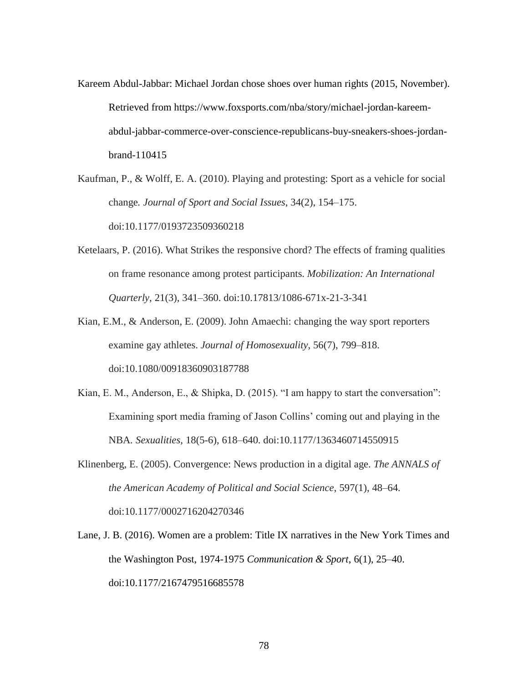- Kareem Abdul-Jabbar: Michael Jordan chose shoes over human rights (2015, November). Retrieved from https://www.foxsports.com/nba/story/michael-jordan-kareemabdul-jabbar-commerce-over-conscience-republicans-buy-sneakers-shoes-jordanbrand-110415
- Kaufman, P., & Wolff, E. A. (2010). Playing and protesting: Sport as a vehicle for social change*. Journal of Sport and Social Issues*, 34(2), 154–175. doi:10.1177/0193723509360218
- Ketelaars, P. (2016). What Strikes the responsive chord? The effects of framing qualities on frame resonance among protest participants. *Mobilization: An International Quarterly*, 21(3), 341–360. doi:10.17813/1086-671x-21-3-341
- Kian, E.M., & Anderson, E. (2009). John Amaechi: changing the way sport reporters examine gay athletes. *Journal of Homosexuality*, 56(7), 799–818. doi:10.1080/00918360903187788
- Kian, E. M., Anderson, E., & Shipka, D. (2015). "I am happy to start the conversation": Examining sport media framing of Jason Collins' coming out and playing in the NBA*. Sexualities*, 18(5-6), 618–640. doi:10.1177/1363460714550915
- Klinenberg, E. (2005). Convergence: News production in a digital age. *The ANNALS of the American Academy of Political and Social Science*, 597(1), 48–64. doi:10.1177/0002716204270346
- Lane, J. B. (2016). Women are a problem: Title IX narratives in the New York Times and the Washington Post, 1974-1975 *Communication & Sport*, 6(1), 25–40. doi:10.1177/2167479516685578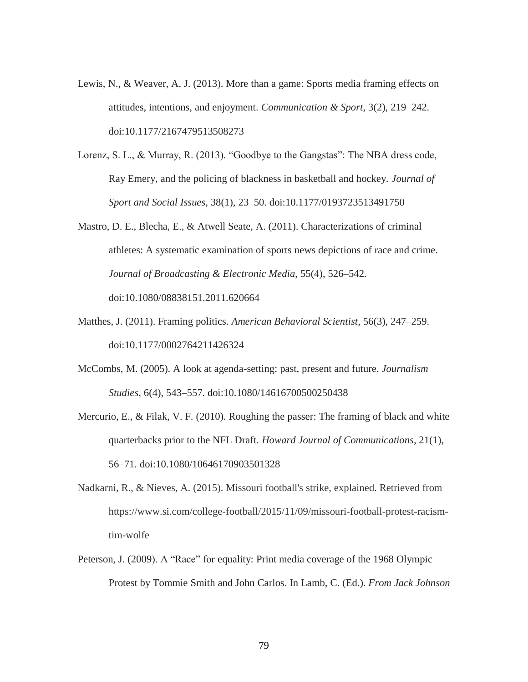- Lewis, N., & Weaver, A. J. (2013). More than a game: Sports media framing effects on attitudes, intentions, and enjoyment. *Communication & Sport*, 3(2), 219–242. doi:10.1177/2167479513508273
- Lorenz, S. L., & Murray, R. (2013). "Goodbye to the Gangstas": The NBA dress code, Ray Emery, and the policing of blackness in basketball and hockey. *Journal of Sport and Social Issues*, 38(1), 23–50. doi:10.1177/0193723513491750
- Mastro, D. E., Blecha, E., & Atwell Seate, A. (2011). Characterizations of criminal athletes: A systematic examination of sports news depictions of race and crime. *Journal of Broadcasting & Electronic Media,* 55(4), 526–542. doi:10.1080/08838151.2011.620664
- Matthes, J. (2011). Framing politics. *American Behavioral Scientist*, 56(3), 247–259. doi:10.1177/0002764211426324
- McCombs, M. (2005). A look at agenda-setting: past, present and future. *Journalism Studies*, 6(4), 543–557. doi:10.1080/14616700500250438
- Mercurio, E., & Filak, V. F. (2010). Roughing the passer: The framing of black and white quarterbacks prior to the NFL Draft. *Howard Journal of Communications*, 21(1), 56–71. doi:10.1080/10646170903501328
- Nadkarni, R., & Nieves, A. (2015). Missouri football's strike, explained. Retrieved from https://www.si.com/college-football/2015/11/09/missouri-football-protest-racismtim-wolfe
- Peterson, J. (2009). A "Race" for equality: Print media coverage of the 1968 Olympic Protest by Tommie Smith and John Carlos. In Lamb, C. (Ed.). *From Jack Johnson*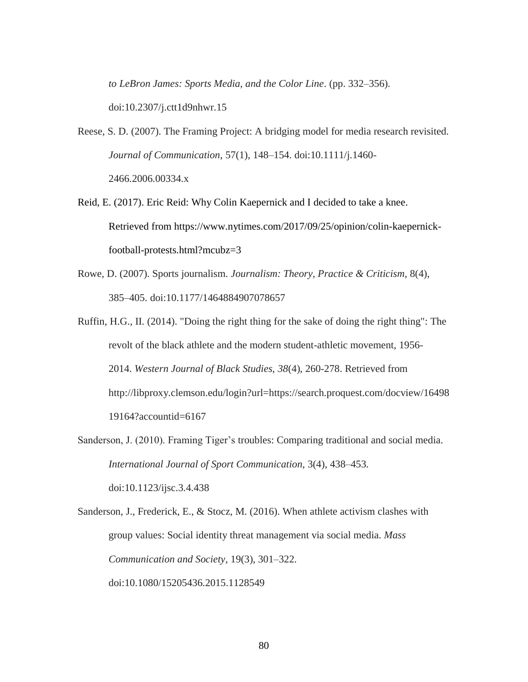*to LeBron James: Sports Media, and the Color Line*. (pp. 332–356). doi:10.2307/j.ctt1d9nhwr.15

- Reese, S. D. (2007). The Framing Project: A bridging model for media research revisited. *Journal of Communication*, 57(1), 148–154. doi:10.1111/j.1460- 2466.2006.00334.x
- Reid, E. (2017). Eric Reid: Why Colin Kaepernick and I decided to take a knee. Retrieved from https://www.nytimes.com/2017/09/25/opinion/colin-kaepernickfootball-protests.html?mcubz=3
- Rowe, D. (2007). Sports journalism. *Journalism: Theory, Practice & Criticism*, 8(4), 385–405. doi:10.1177/1464884907078657
- Ruffin, H.G., II. (2014). "Doing the right thing for the sake of doing the right thing": The revolt of the black athlete and the modern student-athletic movement, 1956- 2014. *Western Journal of Black Studies, 38*(4), 260-278. Retrieved from http://libproxy.clemson.edu/login?url=https://search.proquest.com/docview/16498 19164?accountid=6167
- Sanderson, J. (2010). Framing Tiger's troubles: Comparing traditional and social media. *International Journal of Sport Communication*, 3(4), 438–453. doi:10.1123/ijsc.3.4.438
- Sanderson, J., Frederick, E., & Stocz, M. (2016). When athlete activism clashes with group values: Social identity threat management via social media. *Mass Communication and Society*, 19(3), 301–322. doi:10.1080/15205436.2015.1128549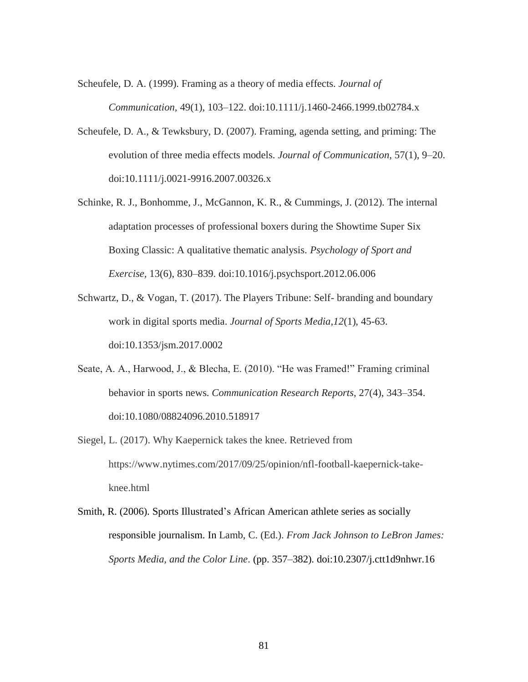Scheufele, D. A. (1999). Framing as a theory of media effects. *Journal of Communication,* 49(1), 103–122. doi:10.1111/j.1460-2466.1999.tb02784.x

- Scheufele, D. A., & Tewksbury, D. (2007). Framing, agenda setting, and priming: The evolution of three media effects models. *Journal of Communication*, 57(1), 9–20. doi:10.1111/j.0021-9916.2007.00326.x
- Schinke, R. J., Bonhomme, J., McGannon, K. R., & Cummings, J. (2012). The internal adaptation processes of professional boxers during the Showtime Super Six Boxing Classic: A qualitative thematic analysis. *Psychology of Sport and Exercise,* 13(6), 830–839. doi:10.1016/j.psychsport.2012.06.006
- Schwartz, D., & Vogan, T. (2017). The Players Tribune: Self- branding and boundary work in digital sports media. *Journal of Sports Media,12*(1), 45-63. doi:10.1353/jsm.2017.0002
- Seate, A. A., Harwood, J., & Blecha, E. (2010). "He was Framed!" Framing criminal behavior in sports news. *Communication Research Reports*, 27(4), 343–354. doi:10.1080/08824096.2010.518917
- Siegel, L. (2017). Why Kaepernick takes the knee. Retrieved from https://www.nytimes.com/2017/09/25/opinion/nfl-football-kaepernick-takeknee.html
- Smith, R. (2006). Sports Illustrated's African American athlete series as socially responsible journalism. In Lamb, C. (Ed.). *From Jack Johnson to LeBron James: Sports Media, and the Color Line*. (pp. 357–382). doi:10.2307/j.ctt1d9nhwr.16